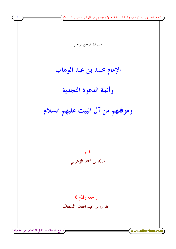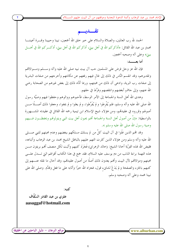الإمام محمد بن عبد الوهاب وأئمة الدعوة النجدية وموقفهم من آل البيت عليهم الســـ

### تقسديسم

الحمد لله رب العالمين، والصلاة والسلام على حير حلق الله أجمعين، نبينا وحبيبنا وقــــرة أعيننــــا محمدٍ بن عبد الله القائل: «أذكركم الله في أهل بيتي، أذكركم الله في أهل بيتي، أذكـــركم الله في أهــــل بييت» وعلى آله وصحبه أجمعين.

أما بعــــــــد:

www.alburhan.com

فإن الله عز وحل فرض على المسلمين حب آل بيت نبيه صلى الله عليه وآله وســــلم ومــــوالاقمم وتقديرهم، وقد انقسم النَّاس في ذلك إلى غال فيهم رفعهم عن مكانتهم وأحرجهم من صفات البشرية إلى صفات رب البرية، وادعى أن ذلك من محبتهم، وربما أدَّاه ذلك إلى بغض غيرهم من الصحابة رضي الله عنهم، وإلى حافٍ أبغضهم وانتقصهم وفرَّط في حقهم.

وهدى الله أهل السنة والجماعة إلى الأمر الوسط، فأحبوهم ووالوهم وحفظوا فيهم وصيَّة رسول الله صلى الله عليه وآله وسلم، فلم يُفْرطوا و لم يُفَرِّطوا، و لم يغلوا و لم يجفوا، وحعلوا ذلك أصـــلًا مــــن أصولهم وقرروه في عقيدتمم، ومن هؤلاء شيخ الإسلام ابن تيمية رحمه الله القائل في عقيدته المشــــهورة بالواسطية: «إنَّ من أصول أهل السنة والجماعة أُهْم يحبون أهل بيت النبي ويتولوهُم ويحفظ ون فــيهم وصية , سول الله صلى الله عليه وسلم ».

وقد اقمم الذين غَلَوا في آل البيت كلَّ من لم يسلك مسلكهم ببغضهم وعدم محبتهم للنبي صــــلي الله عليه وآله وسلم ومن هؤلاء الذين كثرت التهم عليهم بالباطل الشيخ محمد بن عبد الوهاب وأتباعه، فقيض الله لهذه الفِرْيَة أخانا الشيخ: (خالد الزهراني) فَجَرَدَ كتبهم وأثبت لكل منصف ألهم بريئون مــــن هذه التهمة براءة الذئب من دم يوسف عليه السلام، فقد جمع في هذا الكتاب أقوالهم التي تـــدل علــــي محبتهم وموالاقمم لآل البيت وأفمم يعدون ذلك أصلًا من أصول عقيدتمم، وقد أحال ما نقله عنــــهم إلى كتبهم بالجزء والصفحة و لم يَدَعْ لشانىء قول، فجزاه الله خيرًا وأثابه على ما فعل وقدَّم. وصلى الله على نبينا محمد وعلى آله وصحبه وسلم.

كتيه:

علوى بن عبد القادر السَّقَّاف aasaggaf@hotmail.com

موقع البرهان – دليل الباحثين عن الحقيقة <u>ً</u>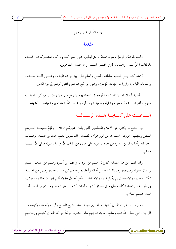بسم الله الرحمن الرحيم

#### مقدمة

الحمد لله الذي أرسل رسوله محمدًا بالحق ليظهره على الدين كله ولو كره المشـــركون، وأيــــده بالكتاب الحقِّ المبين؛ وأصحابه ذوي الفضل العظيم؛ وآله الطيبين الطاهرين.

أحمده كما ينبغي لعظيم سلطانه وأصلى وأسلم على نبيه الرحمة المهداة، وعلـــي آلــــه الهــــداة، وأصحابه الميامين، وأزواجه أمهات المؤمنين، وعلى من اتَّبع هداهم واقتفى أثرهم إلى يوم الدين.

وأشهد أن لا إله إلا الله شهادة أرحو هما النجاة يوم لا ينفع مال ولا بنون إلا من أتى الله بقلب سليم. وأشهد أن محمدًا رسوله وحليله وصفيه شهادة أرحو ها من الله شفاعته يوم القيامة... أ**ما بعد**:

#### الباعــث على كتــابــة هــذه الرســالــة:

فإن المتتبع لما يُكتب عن الأعلام المصلحين الذين بلغت شهرتمم الآفاق –وعَلِمَ حقيقـــة أمــــرهم البعض وجهلها آخرون– ليعلم أن من أبرز هؤلاء المصلحين المعاصرين الشيخ محمد بن عبـــد الوهــــاب رحمه الله وأتباعه الذين ساروا من بعده بدعوته على هدى من كتاب الله وسنة رسوله صلى الله عليـــه و سلم.

وقد كتب عن هذا المصلح كثيرون، منهم من أفرد له ومنهم من أشار، ومنهم من أصاب الحـــق في بيان دعوته ومنهجه، وطريقة أتباعه من أبنائه وأحفاده وغيرهم ممن دعا بدعوته، ومنهم من تعمـــد الكذب عليهم والإساءة إليهم بكيل التهم والافتراءات، وأقل أحوال هؤلاء أفمم يجهلون حالهم ودعوقم، وينقلون عمن تعمد الكذب عليهم في مسائل كثيرة وأبحاث كبيرة.. منها: موقفهم رحمهم الله من أهل البيت عليهم السلام.

ومن هنا استخرت الله في كتابة رسالة تبين موقف هذا الشيخ المصلح وأبنائه وأحفاده وأتباعه من آل بيت النبي صلى الله عليه وسلم، ومزيد عنايتهم بمذا الجانب، موثقةً من أقوالهم في كتبهم ورسائلهم

www.alburhan.com

موقع البرهان – دليل الباحثين عن الحقيقة ً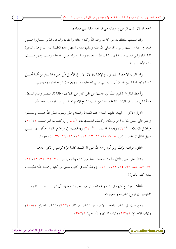الإمام محمد بن عبد الوهاب وأئمة الدعوة النحدية وموقفهم من آل البيت عليهم الســــلام ً

الخاصة؛ فإن كتب الرجل ومؤلَّفاته هي الشاهد الثقة على معتقده.

وقد ضمنتها مقتطفات من كلامه رحمه الله وكلام أبنائه وأحفاده وأتباعه، الذين ســـاروا علــــى لهجه في محبة آل بيت رسول الله صلى الله عليه وسلم؛ ليتبين اشتهار هذه العقيدة بين أتباع هذه الدعوة المباركة، والتي قامت مستندة إلى كتاب الله سبحانه، وسنة رسوله صلى الله عليه وسلم، وفهم ســــلف هذه الأمة الميا, كة.

وقد آثرت الاختصار فيها وعدم الإطناب؛ لأن الأمر في الأصل بيِّن حلي؛ فالشيخ من أئمة أهــــل السنة والجماعة الذين يحبون آل بيت النبي صلى الله عليه وسلم ويعرفون لهم حقوقهم ومتزلتهم.

وأحيط القارئ الكريم علمًا أبي عدلتُ عن نقل كثيرٍ من كلامهم؛ طلبًا للاختصار وعدم البسط، وسأكتفي هنا بذكر ثلاثة أمثلة فقط لهذا من كتب الشيخ الإمام محمد بن عبد الوهاب رحمه الله.

الأول: ذكر آل البيت عليهم السلام عند الصلاة والسلام على رسوله صلى الله عليــــه وســــلم؛ وانظر على سبيل المثال: آخر رسالته: (كشف الشــبهات: ١٨١/١) و(كتــاب التوحيــد: ١٥١/١) و(فضل الإسلام: ٢٧٦/١) و(مفيد المستفيد: ٣٢٥/١) و(الخطب) في مواضع كثيرة جدًّا، منها علـــي سبيل المثال لا الحصر: (ص: ٥، ٧، ١٠، ١١، ١٣، ١٦، ١٨، ٢١، ٢٩، ٢٣، ٣٧...) وغيرها.

**الثاني:** مواضع تَرَضِّيه وتَرَحُّمِه رحمه الله على آل البيت كلما مرَّ ذكرهم أو ذكر أحدهم.

وانظر على سبيل المثال هذه الصفحات فقط من كتابه (التوحيد ص: ٢٠، ٢٢، ٥٦، ٥٦، ٥٦، ٢٤، ٧٤، ٨٢، ٩٣، ٩٥، ٩٣، ١١٢، ١٤٩...) وهذا كله في كتيب صغير من كتبه رحمــــه الله؛ فكيـــف ببقية كتبه الكبار؟!

**الثالث**: مواضع كثيرة في كتبه رحمه الله ذكر فيها اختيارات فقهاء آل البيـــت وســــادالهم مــــن المحتهدين في فروع الشريعة والفقهيات.

ومن ذلك: في كتاب (مختصر الإنصاف): (كتاب الزكاة: ٢٢٧/١) و(كتاب الصيام: ٢٥٥/١) و(باب الإحرام: ٢٧٩/١) و(باب الهدي والأضاحي: ٣٥٢/١).

www.alburhan.com

(موقع البرهان – دليل الباحثين عن الحقيقة)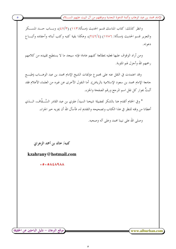الإمام محمد بن عبد الوهاب وأئمة الدعوة النجدية وموقفهم من آل البيت عليهم الســــلام ً

وانظر كذلك: كتاب المناسك قسم الحديث (مسألة:١١٣) (٤٧/٣)، وبساب حسد المســكر والتعزير قسم الحديث (مسألة: ١٧٥٦) (٢٤٢/٤)، وهكذا بقية كتبه وكتب أبنائه وأحفاده وأتبـــاع دعو ته.

ومن أراد الوقوف عليها فعليه بمطالعة كتبهم عامة؛ فإنه سيحد ما لا يستطيع تقييده من كلامهم رحمهم الله وأحزل لهم المثوبة.

وقد اعتمدت في النقل عنه على مجموع مؤلفات الشيخ الإمام محمد بن عبد الوهـــاب (طبــــع جامعة الإمام محمد بن سعود الإسلامية بالرياض). أما النقول الأخرى عن غيره من العلماء الأعلام فقد أثبتُّ بجوار كل نقل اسم المرجع ورقم الصفحة والجزء.

\* وفي الختام أتقدم هنا بالشكر لفضيلة شيخنا السيد/ علوي بن عبد القادر السَّـــقَّاف، الــــذي أعطانا من وقته للنظر في هذا الكتاب وتصحيحه والتقديم له، فأسأل الله أن يجزيه حير الجزاء.

 $\circ$ 

وصلى الله على نبينا محمد وعلى آله وصحبه.

كتبه/ خالد بن أحمد الزهراني

kzahrany@hotmail.com

**COLONEAGAA** 

■ موقع البرهان – دليل الباحثين عن الحقيقة

 $\mathbf{w}$ ww.alburhan.com

 $\mathbf{\delta}$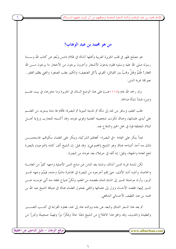الإمام محمد بن عبد الوهاب وأئمة الدعوة النجدية وموقفهم من آل البيت عليهم الســــلام

#### من هو محمد بن عبد الوهاب؟

هو مصلح ظهر في قلب الجزيرة العربية وأهلها آنذاك في ظلام دامس وبُعدٍ عن كتاب الله وســـنة رسوله صلى الله عليه وسلم؛ فقوم يدعون الأشحار وآخرون يرجون من الأححار ما يرحون مــــن الله الغفار! ظُلمٌ وقَتلٌ ونمبٌ بين القبائل، القوي يأكل الضعيف؛ والكبير يغلب الصغير؛ والغني يظلم الفقير.. نعم إلها غربة الدين.

ولد رحمه الله عام (١١١٥هــ) على هذا الوضع السائد في الجزيرة وما حاورها، في بيت علـــم ودين؛ فنشأ نشأة صالحة.

طلب العلم، وسافر من نجد إلى مكة ثم المدينة النبوية ثم البصرة؛ فأقام هِا مدة يستزيد من العلــــم على أيدي علمائها، وهناك تكونت شخصيته العلمية وقوي عوده، وقد أكسبته التجارب ورؤية أهــــل البلاد المختلفة قوة في حمل الحق والدفاع عنه.

فبدأ ينكر على العامة –في البصرة– أفعالهم الشركية، وينكر على العلماء سكوتمم، فاستحســـن ذلك منه أحد أشياخه هناك وهو الشيخ (المحموعي). وقد قيل: إن الشيخ ألف كتابه (التوحيد) بالبصرة لنفع العامة والجهلة، وقيل: إنه ألفه في حريملاء بعد عودته من البصرة.

لكن لشدة غربة الدين آنذاك، وشدة بعد الناس عن منابع الدين الأصلية واجهه كثيرٌ من العامـــة والخاصة، وآذوه أشد الأذى، حتى إلهم أخرجوه من البصرة في الهاجرة ماشيًا وحده، فيَمَّمَ وجهه نحــــو الزبير، وأراد مواصلة المسير إلى الشام لتمام مقصده من العلم، ولكنَّ ضياع نفقته منه أثني عزمــــه عــــن المسير إليها، فقصد الأحساء ونزل إلى علمائها والتقى بفحول العلماء هناك في ضيافة الشيخ عبد الله بن محمد بن عبد اللطيف الأحسائي الشافعي.

ثم بعد هذا السفر الشاق والبعد عن بلده ووالده عاد إلى نجد، فعاود القراءة في كتـــب التفســـير والعقيدة والحديث، وقد وافق هذا الاطلاع من الشيخ ذهنًا حادًا وفكرًا نيرًا وفهمًا صحيحًا وتحرزًا من

www.alburhan.com

موقع البرهان – دليل الباحثين عن الحقيقة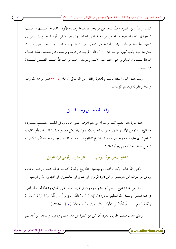الإمام محمد بن عبد الوهاب وأئمة الدعوة النجدية وموقفهم من آل البيت عليهم الســــلام ً

التقليد وبعدًا عن الجمود وطلبًا للحق مِنْ مراجعهِ الصحيحة ومنابعهِ الأولى؛ فقام بعد ذلـــك بواحـــب الدعوة إلى الله وتصحيح ما اندرس من معالم الدين الخالص والتوحيد النقى وأراد الرحوع بالنــــاس إلى العقيدة الخالصة من الشركيات، القائمة على توحيد رب الأرض والسموات.. وقد وحد بسبب ذلـــك معارضة قوية وأذية كبيرة من مناوئيه، إلا أن ذلك لم يثنه عن عزمه و لم يصده عن مقصده، شأنه شـــأن الدعاة المصلحين السائرين على خطا سيد الأنبياء والمرسلين محمد بن عبد الله عليـــه أفضــــل الصـــــلاة والتسليم.

وبعد هذه الحياة الحافلة بالعلم والدعوة وافاه أحل الله تعالى في عام (١٢٠٦هـــ) فرحمه الله رحمة واسعة وغفر له ولجميع المؤمنين.

### وقفسة تأمسل وتحسقيسق

هذه سيرة هذا الشيخ كما ترجم له من هم أعرف الناس بحاله، ولكن لكـــل مصــــلح منــــاوئ وشانئ؛ ابتداء من الأنبياء عليهم صلوات الله وسلامه، وانتهاء بكل مصلح وداعية إلى الحق يأتي بخلاف الواقع الذي عليه قومه ومعاصروه، فهذا الشيخ المظلوم قد رماه أعداؤه عن قوس واحدة، لكن تكسرت الرماح دونه، فما أحقهم بقول القائل:

> فلم يضرها وأوهى قرنه الوعل كناطح صخرة يومًا ليوهنها

فأعلى الله شأنه؛ وكبت أعداءه ومبغضيه، فالتاريخ والعالم كله قد عرف محمد بن عبد الوهاب ولكن مَن يعرف ابن حرجيس أو ابن داود الزبيري أو القباني أو اللكنهوري أو النبهاني...؟ وغيرهم.

لقد بقى هذا الشيخ –رغم كل ما واجهه وافتري عليه– علمًا على الهداية ومجددًا أمر هذا الدين في هذا العصر، وصدق الله العظيم القائل: ((كَذَلِكَ يَضْرِبُ اللَّهُ الْحَقَّ وَالْبَاطِلَ فَأَمَّا الزَّبَدُ فَيَذْهَبُ جُفَـاءً وَأَمَّا مَا يَنفَعُ النَّاسَ فَيَمْكُثُ فِي الأَرْضِ كَذَلِكَ يَضْرِبُ اللَّهُ الأَمْثَالَ)) [الرعد:١٧].

وعلى هذا.. فليعلم القارئ الكريم أن كل من كتبوا عن هذا الشيخ ودعوته وأتباعه، من أعدائهم

مُوقع البرهان – دليل الباحثين عن الحقيقة ً www.alburhan.com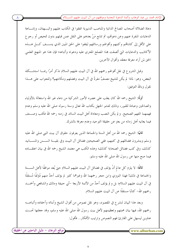الإمام محمد بن عبد الوهاب وأئمة الدعوة النجدية وموقفهم من آل البيت عليهم الســـــلام )

دعاة الضلالة أصحاب المصالح الذاتية والمناصب الدنيوية اتفقوا في الكذب عليهم والبسهتان، وإشـــاعة الدعايات المنفرة عنهم وعن دعوقمم، ثم تتابع مَنْ بعدهم على النقل عمن قبلهم بدون تمحيص أو رجوع على الأقل إلى كتاباقمم وكتبهم وأقوالهم ورسائلهم ليقفوا على الحق المبين الذي ينســف كـــل هــــذه الأكاذيب والدعايات التي ألصقت بمذا المصلح المفترى عليه ودعوته وأتباعه؛ فإن هذا هو المنهج العلمي الحق لمن أراد معرفة معتقد وأقوال الآخرين.

وقبل الشروع في نقل أقوالهم رحمهم الله في آل البيت عليهم السلام نذكر أمرًا ربمـــا استشـــكله البعض، وهو: لماذا لم يكن للشيخ مصنفٌ مفردٌ في آل البيت وفضلهم ومكانتهم؟ وللجواب على هـــذا نقول وبالله التوفيق:

أولًا: الشيخ رحمه الله كان يغلب على عصره الأمور الشركية من دعاء غير الله واستغاثة بالأولياء والصالحين وعبادة للقبور، وذلك لفشو الجهل بكتاب الله تعالى وسنة رسوله صلى الله عليه وسلم وعدم فهمهما الفهم الصحيح. و لم يكن النصب ومعاداة أهل البيت السائد في زمنه رحمه الله فكتب وصـــنف فيما يعانيه أهل زمانه من بعدٍ عن حقيقة التوحيد وعدم معرفة بالشرك.

**ثانيًا:** الشيخ رحمه الله من أهل السنة والجماعة الذين يعرفون حقوق آل بيت النبي صلى الله عليه وسلم وينشرون فضائلهم في كتبهم، ففي الصحيحين فضائل آل البيت وفي بقيـــة الســــنن والمســــانيد كذلك، وفي كتب فضائل الصحابة كذلك؛ وهذه الكتب هي معتمد الشيخ رحمه الله في بيان اعتقـــاده فيما صح منها عن رسول الله صلى الله عليه وسلم.

ثالثًا: لا يلزم كل عالم أنْ يؤلف في فضائل آل البيت عليهم السلام حتى يُعد موافقًا لأهل الســــنة والجماعة في ذلك! فهذا النووي وابن حجر رحمهما الله وغيرهما كثير لم يؤلف أحدٌ منهم مُؤلفًا مُستقلًا في آل البيت عليهم السلام؛ بل و لم يؤلف أحدٌ من الأئمة الأربعة –أبي حنيفة ومالك والشافعي وأحمــــد رحمهم الله– كتابًا مستقلًا عن آل البيت عليهم السلام.

وبعد هذا البيان لنشرع في المقصود، وهو نقل نصوص من أقوال الشيخ وأبنائه وأحفاده وأتباعــــه رحمهم الله، فيها بيان محبتهم وتعظيمهم لأهل بيت رسول الله صلى الله عليه وسلم، وقد حعلتها تحـــت عناوين ليسهل على القارئ فهم النصوص وترتيب الأفكار .. فأقول:

(موقع البرهان – دليل الباحثين عن الحقيقة)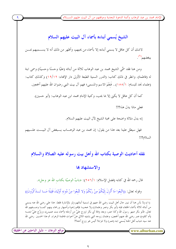لاشك أن كل عاقل لا يسمى أبناءه إلا بأسماء من يحبهم، وأظهر من ذلك أنه لا يســـميهم بمــــن يبغضهم (١)

ومن هنا فقد سمَّى الشيخ محمد بن عبد الوهاب ثلاثة من أبنائه (عليًا وحسنًا وحسينًا) وسمى ابنة له (فاطمة). وانظر في ذلك كتاب: (الدرر السنية الطبعة الأولى دار الإفتاء: ١٩/١٢) وكذلك كتاب: (علماء نجد للبسام: ١٥٥/١).. فَنعْمَ الاسم والمسمى؛ فهم آل بيت النبي رضوان الله عليهم أجمعين.

كما أن كل عاقل لا يكني إلا بما يحب، وكنية الإمام محمد ابن عبد الوهاب: (أبو حسين).

فعلى ماذا يدل هذا؟!!

إنه يدل دلالة واضحة على محبة الشيخ لآل البيت عليهم السلام.

فهل سيطل علينا بعد هذا من يقول: إن محمد بن عبد الوهـــاب يـــبغض آل البيـــت علـــيهم السلام؟!!

نقله أحاديث الوصية بكتاب الله وأهل بيت رسوله عليه الصلاة والسلام

#### والاستشهاد بها

قال رحمه الله في كتابه (فضل الإسلام: ١/٦٥٦): «بابُ الوصيّة بكتاب الله عز وحل».

وقوله تعالى: ((اتَّبعُوا مَا أُنْزِلَ إلَيْكُمْ مِنْ رَبِّكُمْ وَلا تَتَّبعُوا مِنْ دُونهِ أَوْلِيَاءَ قَلِيلًا مَــا تَـــذَكَّرُونَ))

(١) ولا بأس هنا أن نبين حال أهل البيت رضي الله عنهم في تسمية أبنائهم ولو بالإشارة فقط: هذا على رضي الله عنه يسمى من أبنائه ثلاثة بأسماء الحلفاء قبله (أبو بكر وعمر وعثمان) ولا عحب؛ فإلهم إخوة وأصهار ورحماء بينهم كمـــا وصـــفهم الله تعالى. فأبو بكر صهر رسول الله وكذا عمر، وبعد وفاة أبي بكر تزوج عليٌّ من أرملته (أسماء بنت عميس)، وزوَّج عليٌّ ابنتـــه (أم كلثوم) عمر رضي الله عنهم أجمعين، وعثمان زوجه النبي بابنتيه اللاتي هنَّ أخوات فاطمة الزهراء. ثم هذا الحسين رضي الله عنه سيد شباب أهل الجنة يُسمى ابنه (عمر) ولا غرابة! أليس هو زوج أحته؟!

ِّ موقع البرهان – دليل الباحثين عن الحقيقة ِ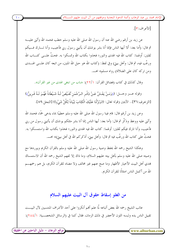الإمام محمد بن عبد الوهاب وأئمة الدعوة النجدية وموقفهم من آل البيت عليهم الســـــلام ً

[الأعراف:٣].

عن زيد بن أرقم رضي الله عنه أن رسول الله صلى الله عليه وسلم حطب فحمد الله وأثنى عليــــه ثم قال: (أما بعد: ألا أيها الناس فإنما أنا بشر يوشك أن يأتيني رسول ربي فأحيب، وأنا تــــارك فـــيكم ثقلين: أَولهما: كتاب الله فيه الهدى والنور؛ فخذوا بكتاب الله وتمسكوا به. فحثَّ علـــى كتــــاب الله ورغَّب فيه، ثم قال: وأهل بيتي) وفي لفظ: (كتاب الله هو حبل الله المتين، من اتبعه كان علــــى الهــــدى ومن تركه كان على الضلالة) رواه مسلم» اهـ.

وقال كذلك في كتاب (فضائل القرآن: ٢٢/١): «باب من ابتغي الهدي من غير القرآن».

وقوله عــز وجــل: ((وَمَـنْ يَعْـشْ عَـنْ ذِكْـر الـرَّحْمَن نُقَـيِّضْ لَـهُ شَـيْطَاناً فَهُـوَ لَـهُ قَـرينٌ)) [الزخرف:٣٦].. الآيتين وقوله تعالى: ((وَنَزَّلْنَا عَلَيْكَ الْكِتَابَ تِبْيَاناً لِكُلِّ شَيْءٍ)) [النحل:٨٩].

وعن زيد بن أرقم قال: قام فينا رسول الله صلى الله عليه وسلم حطيبًا بماء يدعى حمًّا، فحمد الله وأثني عليه ووعظ وذكَّر ثم قال: (أما بعد: أيها الناس إنما أنا بشر مثلكم يوشك أن يأتيني رسول من ربي فأجيب، وأنا تارك فيكم ثقلين: أولهما: كتاب الله فيه الهدى والنور؛ فخذوا بكتاب الله واستمسكوا به. فحثَّ على كتاب الله ورغَّب فيه ثم قال: وأهل بيتي، أذكركم الله في أهل بيتي)» اهــــ.

وهكذا الشيخ رحمه الله يحفظ وصية رسول الله صلى الله عليه وسلم بالقرآن الكريم ويوردها مع وصيته صلى الله عليه وسلم بأهل بيته عليهم السلام، وما ذاك إلا لفهم الشيخ رحمه الله أن الاستمساك بهدي أهل البيت الأخيار الأطهار وما صح عنهم غير مخالف ولا مضاد للقرآن الكريم، بل هم رحمهــــم الله من أكمل الناس امتثالًا للقرآن الكريم.

### من الغلو إسقاط حقوق آل البيت عليهم السلام

عاتب الشيخ رحمه الله بعض أتباعه لمًّا علم ألهم أنكروا على أحد الأشراف المنتسبين لآل البيـــت تقبيل الناس يده ولبسه اللون الأحضر في ذلك الزمان، فقال كما في (الرسائل الشخصـــية: ٢٨٤/١):

موقع البرهان – دليل الباحثين عن الحقيقة <u>ً</u>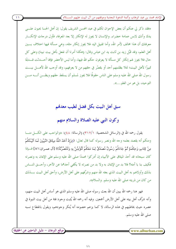الإمام محمد بن عبد الوهاب وأئمة الدعوة النحدية وموقفهم من آل البيت عليهم الســــلام )

«فقد ذكر لي عنكم أن بعض الإخوان تكلم في عبد المحسن الشريف يقول: إن أهل الحسا يحبون علــــى يدك وأنك لابس عمامة خضراء. والإنسان لا يجوز له الإنكار إلا بعد المعرفة، فأول درجات الإنكـــار معرفتك أن هذا مخالف لأمر الله، وأما تقبيل اليد فلا يجوز إنكار مثله، وهي مسألة فيها احتلاف بـــين أهل العلم، وقد قبَّل زيد بن ثابت يد ابن عباس وقال: (هكذا أمرنا أن نفعل بأهل بيت نبينا) وعلى كل حال فلا يجوز لهم إنكار كل مسألة لا يعرفون حكم الله فيها، وأما لبس الأخضر فإنها أحــــدثت قـــــدمًا تمييزًا لأهل البيت؛ لئلا يظلمهم أحد أو يقصّر في حقهم من لا يعرفهم، وقد أوجب الله لأهــــل بيــــت رسول الله صلى الله عليه وسلم على الناس حقوقًا فلا يجوز لمسلم أن يسقط حقهم ويظـــن أنــــه مــــن التوحيد، بل هو من الغلو…».

سبق أهل البيت بكل فضل لطيب معدهم

وكون النبي عليه الصلاة والسلام منهم

يقول رحمه الله في (الرسائل الشخصية: ٣١٢/١) (الرسالة: ٤٨): «والواحب على الكسل منـــا ومنكم أنه يقصد بعلمه وحه الله ونصر رسوله كما قال تعالى: ((وَإِذْ أَخَذَ اللَّهُ مِيثَاقَ النَّبِيِّينَ لَمَا آتَيْتُكُمْ مِنْ كِتَابٍ وَحِكْمَةٍ ثُمَّ جَاءَكُمْ رَسُولٌ مُصَدِّقٌ لِمَا مَعَكُمْ لَتُؤْمِنُنَّ بِهِ وَلَتَنْصُرُنَّهُ)) [آل عمـران:٨١] فــإذا كان سبحانه قد أحذ الميثاق على الأنبياء إن أدركوا محمدًا صلى الله عليه وسلم على الإيمان به ونصرته فكيف بنا يا أمته؟ فلا بد من الإيمان به ولا بد من نصرته لا يكفي أحدهما عن الآخر، وأحـــق النــــاس بذلك وأولاهم به أهل البيت الذي بعثه الله منهم وشرَّفهم على أهل الأرض، وأحق أهل البيت بـــذلك من كان من ذريته صلى الله عليه وسلم. والسلام».

فهو هنا رحمه الله يبين أن الله بعث رسوله صلى الله عليه وسلم الذي هو أساس أهل البيت منهم، وأنه شرَّف أهل بيته على أهل الأرض أجمعين. وفيه أنه رحمه الله يُثبت وجود فئة من أهل بيت النبوة في عصره حيث يخاطبهم في هذه الرسالة، لا كما يزعم خصومه أنه يُنكر وجودهم، ويقول بانقطاع نسبه صلى الله عليه و سلم.

www.alburhan.com

موقع البرهان – دليل الباحثين عن الحقيقة ً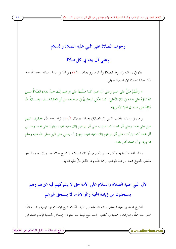## وجوب الصلاة على النبي عليه الصلاة والسلام

وعلى آل بيته في كل صلاة

جاء في رسالته (شروط الصلاة وأركالها وواجبالها: ١١/١) وكذا في عامة رسائله رحمه الله عند ذكر صفة الصلاة الإبراهيمية ما يلي:

« (اللَّهُمَّ صَلِّ على محمدٍ وعلى آل محمدٍ كما صلَّيْتَ على إبراهيم إنَّك حميدٌ مجيدٍ) الصَّلاةُ مــــن الله ثناؤهُ على عبده في الملإ الأعلى، كما حكى البخاريُّ في صحيحه عن أبي العالية قــــال: (صـــــلاةُ الله ثناؤهُ على عبده في الملا الأعلى)».

وجاء في رسالته (آداب المشي إلى الصلاة) (صفة الصلاة: ١٠/١) قوله رحمه الله: «فيقول: اللهم صل على محمد وعلى آل محمد كما صليت على آل إبراهيم إنك حميد مجيد، وبارك على محمد وعلسى آل محمد كما باركت على آل إبراهيم إنك حميد مجيد، ويجوز أن يصلي على النبي صلى الله عليه وسلم مما ورد. وآل محمد أهل بيته».

وهذا الدعاء كما يعلم كل مسلم ركن من أركان الصلاة؛ لا تصح صلاة مسلم إلا به، وهذا هو مذهب الشيخ محمد بن عبد الوهاب رحمه الله، وهو الذي دلَّ عليه الدليل.

لآل النبي عليه الصلاة والسلام على الأمة حق لا يشركهم فيه غيرهم وهم يستحقون من زيادة المحبة والموالاة ما لا يستحق غيرهم

للشيخ محمد بن عبد الوهاب رحمه الله ملخص لطيف لكلام شيخ الإسلام ابن تيمية رحمــــه الله؛ انتقى منه جملًا وعبارات وجمعها في كتاب واحد طبع فيما بعد بعنوان: (مسائل لخصها الإمام محمد ابن

(موقع البرهان – دليل الباحثين عن الحقيقة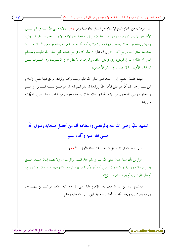الإمام محمد بن عبد الوهاب وأئمة الدعوة النجدية وموقفهم من آل البيت عليهم الســـــلام ً

عبد الوهاب من كلام شيخ الإسلام ابن تيمية) جاء فيها (ص:٥١): «لآله صلى الله عليه وسلم علـــى الأمة حق لا يشركهم فيه غيرهم، ويستحقون من زيادة المحبة والموالاة ما لا يســـتحق ســـائر قــــريش، وقريش يستحقون ما لا يستحق غيرهم من القبائل، كما أن حنس العرب يستحقون من ذلـــك مــــا لا يستحقه سائر أجناس بني آدم...» إلى أن قال: «ولهذا كان في بني هاشم النبي صلى الله عليـــه وســــلم الذي لا يماثله أحد في قريش، وفي قريش الخلفاء وغيرهم ما لا نظير له في العـــــرب، وفي العــــــرب مـــــن السابقين الأولين ما لا نظير له في سائر الأجناس».

فهذه عقيدة الشيخ في آل بيت النبي صلى الله عليه وسلم وأهله وقرابته يوافق فيها شيخ الإسلام ابن تيمية رحمه الله: أنَّ لهم على الأمة حقًّا وواجبًا لا يشركهم فيه غيرهم مــــن بقيــــة النـــــاس، وأفمــــم يستحقون رضي الله عنهم من زيادة المحبة والموالاة ما لا يستحقه غيرهم من الناس. وهذا فضل الله يُؤتيه من يشاء.

تلقيبه عليًا رضي الله عنه بالمرتضى واعتقاده أنه من أفضل صحابة رسول الله صلى الله عليه وآله وسلم

قال , حمه الله في (الرسائل الشخصية الرسالة الأولى: ١٠/١٠):

www.alburhan.com

«وأومن بأن نبينا محمدًا صلى الله عليه وسلم خاتم النبيين والمرسلين، ولا يصح إيمان عبــــد حـــــيّ يؤمن برسالته ويشهد بنبوته؛ وأن أفضل أمته أبو بكر الصديق؛ ثم عمر الفاروق، ثم عثمان ذو النورين، ثم على المرتضى، ثم بقية العشرة... إلخ».

فالشيخ محمد بن عبد الوهاب يعتبر الإمام عليًا رضي الله عنه رابع الخلفاء الراشــــدين المهــــديين ويلقبه بالمرتضى، ويعتقد أنه من أفضل صحابة النبي صلى الله عليه وسلم.

ِّ موقع البرهان – دليل الباحثين عن الحقيقة ِ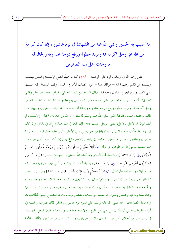ما أصيب به الحسين رضي الله عنه من الشهادة في يوم عاشوراء إنما كان كرامة من الله عز وجل أكرمه ها ومزيد حظوة ورفع درجة عند ربه وإلحاقًا له بدرجات أهل بيته الطاهرين

ينقل رحمه الله في رسالة (الرد على الرافضة: ٤٨/١) كلامًا جميلًا لشيخ الإســــلام ابــــن تيميــــة وتلميذه ابن القيم رحمهما الله — موافقًا لهما – حول مُصاب الأمة في الحسين وقتلته الشنيعة؛ فيه حـــث على الصبر وعدم الجز ع. فيقول رحمه الله: «قال الشيخ ابن تيمية الحنبلي الحراني رحمه الله: اعلم وفقني الله وإياك أن ما أصيب به الحسين رضي الله عنه من الشهادة في يوم عاشوراء إنما كان كرامة من الله عز وجل أكرمه ها ومزيد حظوة ورفع درجة عند ربه وإلحاقًا له بدرجات أهل بيته الطاهرين، وليهينن من ظلمه واعتدى عليه، وقد قال النبي صلى الله عليه وسلم لما سئل: أي الناس أشد بلاء؟ قال: (الأنبيـــاء ثم الصالحون ثم الأمثل فالأمثل، يبتلي الرحل حسب دينه؛ فإن كان في دينه صلابة زيْد في بلائه، وإن كان في دينه رقة خُفِّف عنه، ولا يزال البلاء بالمؤمن حتى يمشى على الأرض وليس عليه خطيئة) فـــالمؤمن إذا حضر يوم عاشوراء وذكر ما أصيب به الحسين يشتغل بالاسترجاع ليس إلا، كما أمره المولى عز وحل عند المصيبة ليحوزَ الأحر الموعود في قوله: ((أُوْلَئِكَ عَلَيْهِمْ صَـلَوَاتٌ مِـنْ رَبِّهِـمْ وَرَحْمَـةٌ وَأُوْلَئِكَ هُـمْ الْمُهْتَدُونَ)) [البقرة:١٥٧] ويلاحظَ ثمرة البلوي وما أعده الله للصابرين، حيـــث قـــال: ((إِئَمَـا يُـوَفَّى الصَّابِرُونَ أَجْرَهُمْ بِغَيْرِ حِسَابٍ)) [الزمـر:١٠] ويشهدَ أن ذلك البلاء من المبلي فيغيب برؤية وحــــدان مرارة البلاء وصعوبته، قال تعالى: ((وَاصْبِرْ لِحُكْم رَبِّكَ فَإِنَّكَ بِأَعْيُنِنَـا)) [الطـور:٤٨] وقيـــل لـــبعض الشطار : متى يهون عليك الضرب والقطع؟ فقال: إذا كنا بعين من فمواه، فنعد البلاء رحاء والجفاء وفاء والمحنة منحة. فالعاقل يستحضر مثل هذا في ذلك الوقت ويستصغر ما يرد عليه مـــن مصـــائب الــــدنيا وشدائدها وبلائها ويتسلى ويتعزى بما يصيبه من ذلك، ويشتغل يومه ذلك بما استطاع مسن الطاعــات والأعمال الصالحات؛ لحثه صلى الله عليه وسلم على صوم يوم عاشوراء، فبكل ذلك يصرف زمانــــه في أنواع القربات عسى أن يكتب من مجي أهل القربي. ولا يتخذه للندب والنياحة والحزن كفعل الجهلـــة؛ إذ ليس ذلك من أحلاق أهل البيت النبوي ولا من طريقهم، ولو كان ذلك من طرائقهم لاتخذت الأمة

موقع البرهان – دليل الباحثين عن الحقيقة

 $\sqrt{2}$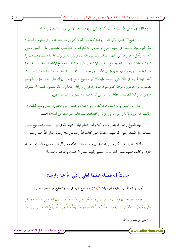الإمام محمد بن عبد الوهاب وأئمة الدعوة النجدية وموقفهم من آل البيت عليهم الســــلام ً

يوم وفاة نبيهم صلى الله عليه وسلم مأمَّا في كل عام؛ فما هذا إلا من تزيين الشيطان وإغوائه.

قال الشيخ<sup>(١)</sup> عقب ذكر ذلك: وهذا كما زين لقوم آخرين معارضة هؤلاء في فعلهم فاتخــــذوا هذا اليوم عيدًا وأخذوا في إظهار الفرح والسرور إما لكوفمم من النواصب المتعصبين على الحسين رضي الله عنه وأهل بيته، وإما من الجهال المقابلين للفساد بالفساد والشر بالشر والبدعة بالبدعـــة، فـــأظهروا الزينة كالخضاب ولبس الجديد من الثياب والاكتحال وتوزيع النفقات وطبخ الأطعمة والحبوب الخارجة عن العادات، ويفعلون فيه ما يفعل في الأعياد ويزعمون أن ذلك من السنة، والمعتاد والسنة ترك ذلـــك كله؛ فإنه لم يرد في ذلك شيء يعتمد عليه ولا أثر صحيح يرجع إليه.. إلى أن قال: فصار هؤلاء لجهلهم يتخذون يوم عاشوراء موسمًا كموسم الأعياد والأفراح وأولئك يتخذون مأتمًا يقيمون فيـــه الأحـــزان والأتراح، وكلا الطائفتين مخطئة حارجة عن السنة متعرضة للجرم والجناح. انتهى.

وقال ابن القيم: وأما أحاديث الاكتحال والادهان والتطيب يوم عاشوراء فمن وضع الكذابين، وقابلهم الآخرون فاتخذوه يوم تألم وحزن، والطائفتان مبتدعتان حارجتان عن السنة» اهـــ.

فهنا الشيخ رحمه الله ينقل ويقرر كلام أهل العلم قبله رحمهم الله في بيان الموقف الصحيح مــــن مصاب أهل البيت رضي الله عنهم، معتمدًا على كتاب الله وصحيح سنة رسوله صلى الله عليه وسلم.

وأترك التعليق هنا لكل من يريد الحق في موقف هؤلاء الأئمة من آل البيت عليهم السلام، فقــــد افترى وكذب عليهم بعض الطوائف.. فنسبوا إليهم بغض آل البيت وسموهم نواصب!!

# حديثٌ فيه فضيلة عظيمة لعلى رضي الله عنه وأرضاه

أورد رحمه الله في كتابه (التوحيد: ٢١/١) خبر فتح خيبر في العام السابع من الهجرة فقال:

«ولهما –البخاري ومسلم– عن سَهْل بن سَعْدِ رضي الله عنه: أن رسول الله صلى الله عليه وسلم قال يومَ خَيْبَر: (لأُعْطِيَنَّ الراية غدًا رحلًا يُحبُّ الله ورسولَه، ويُحبُّه اللهُ ورسولُه يَفْتَحُ الله علـــى يديــــه،

(١) يعني ابن تيمية رحمه الله.

موقع البرهان – دليل الباحثين عن الحقيقة ً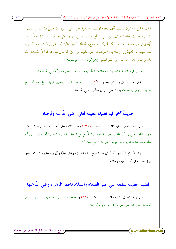الإمام محمد بن عبد الوهاب وأئمة الدعوة النجدية وموقفهم من آل البيت عليهم الســــلام ﴾

فباتَ الناسُ يَدُوكون ليلتهم: أَيُّهُمْ يُعطاها؟ فلما أصبحوا غَدَوْا عَلى رسول الله صلى الله عليه وســـلم، كلهم يرحو أن يُعطاها. فقال: أين عليَّ بن أبي طالب؟ فقيل: هو يشتكي عينيه، فأرسلوا إليه، فأَتَىَ به، فَبَصَق في عينيه ودعا له، فبرَأ كأن لم يكن به وجَع، فأعطاه الراية فقال: انْفَذْ عَلى رسْلِكَ، حيّ تَنْـــزلَ بساحتهم، ثم ادْعُهُمْ إلى الإسلام، وأحبرهم بما يجب عليهم من حَقٍّ الله تعالى فيه، فوالله لأنْ يَهْـــديَ الله بك رجلًا واحدًا، حيرٌ لك من حُمْرِ النَّعَمِ» (يدوكون: أي: يخوضون).

ثم قال في فوائد هذا الحديث ومسائله: «الحادية والعشرون: فضيلة عليّ رضي الله عنه ».

وقال رحمه الله في (مسائل لخصها: ١٥٣/١): «وكذلك قوله: لأعطين الراية...إلخ. هو أصـــح حديث يروي في فضله» يعني: على بن أبي طالب رضي الله عنه.

# حديثٌ آخرٍ فيه فضيلة عظيمة لعلى رضي الله عنه وأرضاه

قال رحمه الله في كتابه (مختصر زاد المعاد: ٢٧٦/١) عند كلامه على أحـــداث غـــزوة تبــــوك: «واستخلف على بن أبي طالب على أهله، فقال: تخلَّفني مع النساء والصبيان؟ فقال: أمـــا ترضـــي أن تکون مبي بمترلة هارون من موسى غير أنه لا نبي بعدي؟».

وهِذا الكلام لا يُتصوَّر أن يُقال عن الشيخ رحمه الله: إنه يبغض عليًا وآل بيته عليهم السلام، وهو يبرز فضائله في أكثر كتبه ورسائله.

فضيلة عظيمة لبضعة النبي عليه الصلاة والسلام فاطمة الزهراء رضي الله عنها

قال رحمه الله في كتابه (مختصر زاد المعاد: ٢٩٦/١): «وقد كان صلى الله عليه وســــلم يقــــوم لفاطمة رضي الله عنها سرورًا ها، وتقوم له كرامة».

www.alburhan.com

(موقع البرهان – دليل الباحثين عن الحقيقة)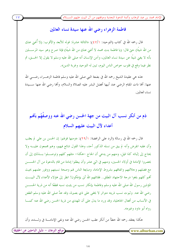الإمام محمد بن عبد الوهاب وأئمة الدعوة النجدية وموقفهم من آل البيت عليهم الســـــلام ً

فاطمة الزهراء رضى الله عنها سيدة نساء العالمين

قال رحمه الله في كتاب (التوحيد: ٤٧/١): «الثالثة عشرة: قوله للأبعد والأقرب: (لا أُغييٰ عنك من الله شيئًا) حتى قال: (يا فاطمة بنت محمد لا أغني عنكِ من الله شيئًا) فإذا صرح وهو سيد المرســـــلين بأنه لا يغني شيئًا عن سيدة نساء العالمين، وآمن الإنسان أنه صلى الله عليه وسلم لا يقول إلا الحــــق، ثم نظر فيما وقع في قلوب خواص الناس اليوم، تبين له التوحيد وغربة الدين».

هذه هي عقيدة الشيخ رحمه الله في بضعة النبي صلى الله عليه وسلم فاطمة الزهـــراء رضــــي الله عنها: ألها ذات المقام الرضي عند أبيها أفضل البشر عليه الصلاة والسلام، وألها رضي الله عنها ســـيدة نساء العالمين

ذم من أنكر نسب آل البيت من جهة الحسن رضي الله عنه ووصفُهُم بأهْم أعداء لآل البيت عليهم السلام

قال رحمه الله في رسالة (الرد على الرافضة: ٢٩/١): «ومنها قولهم: إن الحسن بن علي لم يعقب وأن عقبه انقرض وأنه لم يبق من نسله الذكور أحد، وهذا القول شائع فيهم، وهم مجمعون عليـــه ولا يحتاج إلى إثباته كذا قيل، ومنهم من يدعى أن الجاج –هكذا– مثلهم كلهم وتوصــــلوا بــــذلك إلى أن يحصروا الإمامة في أولاد الحسين، ومنهم في اثني عشر وأن يبطلوا إمامة من قام بالدعوة من آل الحســــن مع فضلهم وجلالتهم واتفاقهم بشروط الإمامة، ومبايعة الناس لهم وصحة نسبتهم ووفور علمهم بحيث أنهم كلهم بلغوا درجة الاجتهاد المطلق.. فقاتلهم الله أني يؤفكون! انظر إلى هؤلاء الأعداء لآل البيـــت المؤذين رسول الله صلى الله عليه وسلم وفاطمة بإنكار نسب من يثبت نسبه قطعًا أنه من ذرية الحســــن رضي الله عنه. وثبوت نسب ذريته متواتر لا يخفي على ذي بصيرة، وقد عدَّ صلى الله عليه وسلم الطعن في الأنساب من أفعال الجاهلية، وقد ورد ما يدل على أن المهدي من ذرية الحسن رضي الله عنه كمـــا رواه أبو داو د وغيره».

هكذا يعتقد رحمه الله خطأ من أنكر عقب الحسن رضي الله عنه ونفي الإمامــــة في ولــــده، وأن

<mark>(موقع البرهان – دليل</mark> الباحثين عن الحقيقة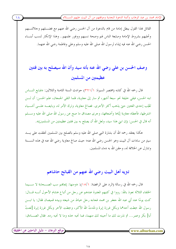الإمام محمد بن عبد الوهاب وأئمة الدعوة النحدية وموقفهم من آل البيت عليهم الســــلام )

القائل هِذا القول يبطل إمامة من قام بالدعوة من آل الحسن رضي الله عنهم مع فضـــــلهم وحلالتـــــهم وتحليهم بشروط الإمامة ومبايعة الناس لهم وصحة نسبهم ووفور علمهم.. وهذا الإنكار لنسب أبنـــاء الحسن رضي الله عنه فيه إيذاء لرسول الله صلى الله عليه وسلم وعلى وفاطمة رضي الله عنهما.

# وصف الحسن بن على رضي الله عنه بأنه سيد وأن الله سيصلح به بين فئتين عظيمتين من المسلمين

قال رحمه الله في كتابه (مختصر السيرة: ٣٢١/١) حوادث السنة الثامنة والثلاثين: «فبايع النــــاس ابنه الحسن، فبقى خليفة نحو سبعة أشهر، ثم سار إلى معاوية، فلما التقى الجمعان، علم الحسن: أن لــــن تَغْلِب إحدى الفتتين حتى يذهب أكثر الأخرى. فصالح معاوية، وترك الأمر له، وبايعــــه علــــى أشــــياء اشترطها، فأعطاه معاوية إيّاها وأضعافها، وحرى مصداق ما صح عن رسول الله صلى الله عليه وســــلم أنه قال في الحسن: (إن ابني هذا سيد، ولعل الله أن يصلح به بين فثتين عظيمتين من المسلمين)».

هكذا يعتقد رحمه الله أن بشارة النبي صلى الله عليه وسلم بالصلح بين المسلمين تحققت على يــــد سيدِ من سادات آل البيت وهو الحسن رضي الله عنه؛ حيث صالح معاوية رضي الله عنه في هذه الســـنة وتنازل عن الخلافة له، وحقن الله به دماء المسلمين.

# تـَّ تو يه أهل البيت رضي الله عنهم من القبائح حاشاهم

قال رحمه الله في رسالة (الرد على الرافضة: ١٥/١): «ومنها: إيجاهِم سب الصـــحابة لا ســــيما الخلفاء الثلاثة نعوذ بالله: رووا في كتبهم المعتبرة عندهم عن رحل من أتباع هشام الأحول أنــــه قــــال: كنت يومًا عند أبي عبد الله جعفر بن محمد فجاءه رجل حياط من شيعته وبيده قميصان فقال: يا ابــــن رسول الله خِطت أحدهما وبكل غرزة إبرة وحَّدتُ الله الأكبر، وخِطت الآخر وبكل غرزة إبرة [لعنتُ أبا] بكر وعمر... ثم نذرت لك ما أحببته لك منهما، فما تحبه حذه وما لا تحبه رده. فقال الصــادق:

موقع البرهان – دليل الباحثين عن الحقيقة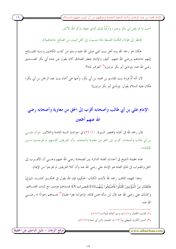الإمام محمد بن عبد الوهاب وأئمة الدعوة النجدية وموقفهم من آل البيت عليهم الســ

أحب ما تم بلعن أبي بكر وعمر، وأرْدُدُ إليك الذي حِيط بذكر الله الأكبر .

فانظر إلى هؤلاء الكذبة الفسقة ماذا ينسبون إلى أهل البيت من القبائح حاشاهم!».

هكذا هو رحمه الله ينزه أهل بيت النبي صلى الله عليه وسلم من كذب الكاذبين ونسبة القبــــائح إليهم حاشاهم ورضى الله عنهم. كيف والإمام جعفر الصادق كان يقول عن جده أبي بكر الصــــديق رضي الله عنه: (ولدني أبو بكر مرتين)<sup>(١</sup>) أتعرف لماذا؟

لأن أمَّه أمٌّ فروة بنت القاسم بن محمد بن أبي بكرٍ، وأمها هي أسماء بنت عبد الرحمن بن أبي بكرٍ ، فكان عليه السلام يقول: (ولدني أبو بكر مرتين)!

الإمام على بن أبي طالب وأصحابه أقرب إلى الحق من معاوية وأصحابه رضي الله عنهم أجمعين

قال رحمه الله في كتابه (مختصر السيرة: ٣٢١/١) في حوادث السنة الثامنة والثلاثين: «وأن علــــي بن أبي طالب وأصحابه: أقرب إلى الحق من معاوية وأصحابه. وأن الفريقين كلـــهم لم يخرجـــوا مـــن الايمان».

هذه عقيدة الشيخ في أحداث الفتنة الدائرة بين الصحابة رضي الله عنهم وهــــي أن الأقــــرب إلى الحق والصواب في تلك الفتنة هو الإمام على رضي الله عنه وأن كلا الفريقين لم يخرجوا من الإيمان.

وهذا لفهمه الثاقب رحمه الله لآيات الكتاب الحكيم؛ فإن الله يقول في محكـــم كتابــــه: ((وَإِنْ طَائِفَتَانٍ مِنْ الْمُؤْمِنِينَ اقْتَتَلُوا فَأَصْلِحُوا بَيْنَهُمَـا)) [الحجـرات:٩]؛ فسماهم مؤمنين مع إثبات اقتتـــالهم. وكذلك على رضي الله عنه قال لمن سأله عمن قاتله: (إخواننا بغوا علينا)<sup>(٢)</sup> فسماهم إخوانًا له رضـــي الله عنه.

> (١) تمذيب الكمال (٥/٥/٥)، وسير أعلام النبلاء (٦/٥٥/٦). (٢) السنن الكبرى للبيهقي (١٧٣/٨)، المصنف لابن أبي شيبة (٥٣٥/٧).

> > www.alburhan.com

موقع البرهان – دليل الباحثين عن الحقيقة ً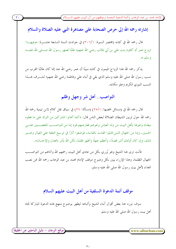إشارته رحمه الله إلى حرص الصحابة على مصاهرة النبي عليه الصلاة والسلام

قال رحمه الله في كتابه (مختصر السيرة: ٣٠٦/١) في حوادث السنة السابعة عشــــرة: «وفيهــــا: تزوج عمر أم كلثوم بنت على بن أبي طالب رضي الله عنهم؛ طلبًا لصهر رسول الله صـــــلى الله عليـــــه وسلم ».

يذكر رحمه الله هذا الزواج الميمون في كتابه مبينًا أن عمر رضي الله عنه إنما كان طالبًا القرب من نسب رسول الله صلى الله عليه وسلم الذي بقى في أبناء على وفاطمة رضى الله عنهم؛ لشـــرف هــــذا النسب النبوي الكريم وعلو مكانته.

### النواصب.. أهل شر وجهل وظلم

قال رحمه الله في (مسائل لخصها: ٢٥/١) (مسألة: ٢٧) في سياق نقل كلام لابن تيمية رحمه الله رحمه الله حول تزيين الشيطان الضلالة لبعض الناس قال: «كما أعانوا المشركين من الترك على ما فعلوه ببغداد وغيرها بأهل البيت من ولد العباس وغيرهم فعارضهم قوم إما من النواصــب المتعصـــبين علــــي الحسين، وإما من الجهال الذين قابلوا الفاسد بالفاسد، فوضعوا آثارًا في توسيع النفقة على العيال وغسير ذلك، وإن كان أولئك أشر قصدًا، وأعظم جهلًا وأظهر ظلمًا، لكن الله يأمر بالعدل والإحسان».

فأنت ترى هنا الشيخ وهو يُزرى بكل من عادى أهل البيت رحمهم الله وآذاهم من النواصـــب الجهال الظلمة، وهذا الإزراء يبين بكل وضوح موقف الإمام محمد بن عبد الوهاب رحمه الله ممن نصب العداء لأهل بيت رسول الله صلى الله عليه وسلم.

### موقف أئمة الدعوة السلفية من أهل البيت عليهم السلام

سوف نورد هنا بعض أقوال أبناء الشيخ وأتباعه ليظهر بوضوح منهج هذه الدعوة المباركة تجاه أهل بيت , سول الله صلى الله عليه و سلم.

www.alburhan.com

(موقع البرهان – دليل الباحثين عن الحقيقة)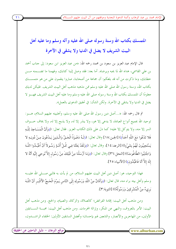الإمام محمد بن عبد الوهاب وأئمة الدعوة النحدية وموقفهم من آل البيت عليهم الســ

# المتمسك بكتاب الله وسنة رسوله صلى الله عليه وآله وسلم وما عليه أهل

### البيت الشريف لا يضل في الدنيا ولا يشقى في الآخرة

قال الإمام عبد العزيز بن سعود بن محمد رحمه الله: «من عبد العزيز ابن سعود: إلى حناب أحمد بن علي القاسمي، هداه الله لما يحبه ويرضاه. أما بعد: فقد وصل إلينا كتابك، وفهمنا ما تضــــمنه مــــن خطابك، وما ذكرت من أنه قد بلغكم: أن جماعة من أصحابنا، صاروا ينقمون على من هو متمســـك بكتاب الله، وسنة رسول الله صلى الله عليه وسلم ممن مذهبه مذهب أهل البيت الشريف. فليكن لديك معلومًا أن المتمسك بكتاب الله وسنة رسوله صلى الله عليه وسلم وما عليه أهل البيت الشريف فهــــو لا يضل في الدنيا ولا يشقى في الآخرة. ولكن الشأن: في تحقيق الدعوى بالعمل».

ثم قال رحمه الله: «…أصل دين رسول الله صلى الله عليه وسلم، وأهلبيته عليهم السلام، هـــو: توحيد الله بجميع أنواع العبادة، لا يدعى إلا هو، ولا ينذر إلا له، ولا يذبح إلا له، ولا يخاف خـــوف السر إلا منه، ولا يتوكل إلا عليه؛ كما دل على ذلك الكتاب العزيز. فقال تعالى: ((وَأَنَّ الْمَسَـاجِدَ لِلَّـهِ فَلا تَدْعُوا مَعَ اللَّهِ أَحَداً)) [الجـن:١٨] وقال تعالى: ((لَـهُ دَعْـوَةُ الْحَـقِّ وَالَّـذِينَ يَـدْعُونَ مِـنْ دُونِـهِ لا يَسْتَحِيبُونَ لَهُمْ بِشَيْءٍ)) [الرعد:١٤]، وقال تعالى: ((وَلَقَدْ بَعَثْنَا فِي كُلِّ أُمَّـةٍ رَسُـولاً أَنْ أُعْبُـدُوا اللَّـهَ وَاجْتَنِبُوا الطَّاغُوتَ)) [النحل:٣٦] وقال تعالى: ((وَمَا أَرْسَلْنَا مِنْ قَبْلِكَ مِنْ رَسُول إلاّ نُوحِي إلَيْهِ أَنَّهُ لا إِلَهَ إِلاَّ أَنَا فَاعْبُدُونِ)) [الأنبياء:٢٥].

فهذا التوحيد، هو: أصل دين أهل البيت عليهم السلام، من لم يأت به فالنبي صــــلى الله عليــــه وسلم وأهل بيته براء منه، قال تعالى: ((وَأَذَانٌ مِنْ اللَّهِ وَرَسُولِهِ إلَى النَّاس يَـوْمَ الْحَـجِّ الأكْبَـر أَنَّ اللَّـهَ بَرِيءٌ مِنْ الْمُشْرِكِينَ وَرَسُولُهُ)) [التوبة:٣].

ومن مذهب أهل البيت: إقامة الفرائض؛ كالصلاة، والزكاة، والصيام، والحج. ومن مذهب أهل البيت: الأمر بالمعروف، والنهي عن المنكر، وإزالة المحرمات. ومن مذهب أهل البيت: محبَّــة الســــابقين الأولين، من المهاجرين والأنصار، والتابعين لهم بإحسان؛ وأفضل السابقين الأولين: الخلفاء الراشـــدون،

مُوقع البرهان – دليل الباحثين عن الحقيقة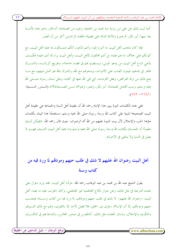الإمام محمد بن عبد الوهاب وأئمة الدعوة النجدية وموقفهم من آل البيت عليهم الســـــلام )

كما ثبت ذلك عن على من رواية ابنه محمد بن الحنفية، وغيره من الصحابة، أنه قال: (حير هذه الأمـــة بعد نبيها: أبو بكر، ثم عمر) والأدلة الدالة على فضيلة الخلفاء الراشدين أكثر من أن تحصر.

فإذا كان مذهب أهل البيت ما أشرنا إليه، وأنتم تدَّعون أنكم متمسكون بما عليه أهل البيت، مع كونكم على حلاف ما هم عليه؛ بل أنتم مخالفون لأهل البيت، وأهل البيت براء مما أنتم عليه؛ فكيــف يدِّعي اتباع أهل البيت من يدعو الموتي، ويستغيث هم في قضاء حاجاته، وتفريج كرباتــه، والشـــرك ظاهر في بلدهم، فيبنون القباب على الأموات، ويدعوهُم مع الله، والشرك بالله هو أصل دينهم، مع مــــا يتبع ذلك من ترك الفرائض، وفعل المحرمات، التي فمي الله عنها في كتابه، وعلى لسان رسوله صـــــلي الله عليه وسلم، وسب أفاضل الصحابة: أبو بكر، وعمر، وغيرهما مــــن الصــــحابة؟!» (الــــدرر الســــنية:  $(117 - 779)$ 

ففي هذه الكلمات النيرة يبين هذا الإمام رحمه الله أن عقيدة أهل السنة والجماعة هي عقيدة أهل البيت الصحيحة المبنية على كتاب الله وسنة رسوله صلى الله عليه وسلم، مستفتحًا هذا البيان بكلمات ملؤها الحب والإجلال لآل بيت النبوة عليهم من الله أتم الرضوان، حيث قال رحمه الله: «فليكن لديك معلومًا أن المتمسك بكتاب الله وسنة رسوله صلى الله عليه وسلم وما عليه أهل البيت الشريف فهــــو لا يضل في الدنيا ولا يشقى في الآخرة».

أهل البيت رضوان الله عليهم لا شك في طلب حبهم ومودقم لما ورد فيه من كتاب وسنة

يقول الشيخ عبد الله بن محمد بن عبد الوهاب رحمه الله: «وأما أهل البيت: فقد ورد سؤال على علماء الدرعية في مثل ذلك، وعن جواز نكاح الفاطمية غير الفاطمي، وكان الجواب عليه ما نصه: أهل البيت –رضوان الله عليهم– لا شك في طلب حبهم ومودقمم، لما ورد فيه من كتاب وســـنة، فيجـــب حبهم ومودقمم، إلا أن الإسلام ساوى بين الخلق، فلا فضل لأحد إلا بالتقوى، ولهم مع ذلك التــــوقير والتكريم، والإجلال، ولسائر العلماء مثل ذلك، كالجلوس في صدور المحالس، والبداءة بمم في التكسريم،

موقع البرهان – دليل الباحثين عن الحقيقة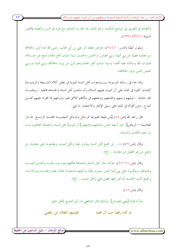الإمام محمد بن عبد الوهاب وأئمة الدعوة النحدية وموقفهم من آل البيت عليهم الســــلام )

والتقديم في الطريق إلى موضع التكريم، ونحو ذلك، إذا تقارب أحدهم مع غيره في السن والعلم» (الدرر السنية: ٢/٢٣٦-٢٣٣).

ويقول أيضًا (الدرر: ٢٤٦/١): «ونحن نعتقد أن على بن أبي طالب رضي الله عنه أولى بالخلافة من معاوية فضلًا عن بني أمية، وبني العباس. والحسن والحسين سيدا شباب أهل الجنة، صح عن حــــدهما صلوات الله و سلامه عليه أفمما: (سيدا شباب أهل الجنة) وهم أولى من يزيد بالخلافة، وبني أمية، وبـــــي العباس الذين تولوا الخلافة».

كلمات كثيرة في الثناء على آل البيت عليهم السلام وأن مذهب أهل السنة والجماعة قاطبة – وعلمـــاء نجد خاصة – توليهم وحبهم وتقديمهم ووضعهم في مكانمم اللائق بمم، وتبرئتهم مما افتراه عليهم أهــــل البدع.. ومن أقواله في ذلك على سبيل الإيجاز والاختصار ما يلي:

قال رحمه الله (ص:٤٥) [من طبعة مجموعة الرسائل والمسائل النجديـــة المجلــــد الرابــــع. ط دار العاصمة — الرياض]: «إن أسعد الناس باتباعهم ومحبتهم [آل البيت] أهل السنة والجماعة القائلون بمســا دل عليه الكتاب والسنة».

وقال (ص:٥٩): «... بل جميع أهل السنة يتولون عليًا وأهل البيت، ويقدمونه على معاوية، بل وعلى من هو أفضل من معاوية… إلخ».

وقال (ص: ٦١–٢٢): «وأما سائر أهل السنة والجماعة فكلهم يتولـــون عليَّـــا وأهــــل البيــــت ويحبوهم، وينكرون على بني أمية الذين يسبون عليًا، وكتبهم مشحونة بالثناء عليه ومحبتـــه وموالاتــــه، وجميع كتب الحديث مذكور فيها فضل على وأهل البيت... إلخ».

> وقال (ص: ٦٢): «وأما قوله [يعني المعترض]: ولذلك قال الشافعي لما رأى التبديع لأهل الحق:

فليشهد الثقلان أبي رافضي إن كان , فضاً حب آل محمد

www.alburhan.com

 $\mathbf{r}$ 

(موقع البرهان – دليل الباحثين عن الحقيقة)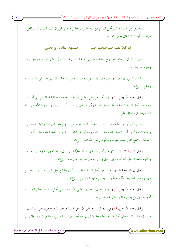الإمام محمد بن عبد الوهاب وأئمة الدعوة النحدية وموقفهم من آل البيت عليهم الســــلام )

 $Y \xi$ 

فجميع أهل السنة وأكثر أهل البدع من المعتزلة والمرجئة وغيرهم يقولون كما قـــال الشـــافعي، ويقولون أيضًا كما قال بعض العلماء:

> إن كان نصباً حب صحب محمد فليشهد الثقلان أيي ناصبي

فالبيت الأول: إرغام للخوارج وطائفة من بني أمية الذين يبغضون عليًا رضي الله عنه وأهل بيته، ومنهم من يكفره.

والبيت الثاني: إرغام للروافض والزيدية الذين يبغضون بعض أصحاب السنبي صسلى الله عليسه وسلم... إلخ».

وقال رحمه الله (ص:٦٥): «…أما لعن على رضي الله عنه فإنما فعله طائفة قليلة من بني أميــــة، وهم عند أهل السنة ظلمة فسقة، وأهل السنة ينكرون عليهم ذلك بألســـنتهم ويـــروون الأحاديـــث الصحيحة في فضائل على.

وذلك أفمم أرادوا وضعه عند الناس، وحطَّ رتبته ومحبته من قلوهِم فجازاهم الله بنقيض قصدهم، ورفعه الله، وأظهر أهل السنة والجماعة فضائله، وحدثوا هِا الناس، فاشتهرت عند العامة فضـــلًا عـــن الخاصة، وجميع أهل السنة يحبونه ويوالونه رضي الله عنه... إلخ».

وقال (ص:٦٩): «...كثير من أهل السنة يرون أن عليًا مصيب في قتاله لمعاويـــة ومـــن معـــه، وكلهم متفقون على أنه أقرب إلى الحق وأولى به من معاوية ومن معه... إلخ».

وقال في الصفحة نفسها: «... فإن أهل السنة والحديث أولى باتباع أهل البيت منـــهم، وهــــم شيعتهم على الحقيقة؛ لأفمم سلكوا طريقتهم واتبعوا هديهم... إلخ».

وقال رحمه الله (ص:٧٣): «وما جرى للحسين رضي الله عنه وعلى أهل بيته مما يعظم الله بـــه أحورهم ويرفع به درجاقمم رضي الله عنهم ».

وقال رحمه الله (ص:٧٩) في رده قول المعترض أن أهل السنة والجماعة منحرفون عن آل البيت: «… إن هذا كذب على أهل السنة والجماعة لا يمترى فيه أحد عرف مذهبهم، وطالع كتبهم؛ فإلهم لم

موقع البرهان – دليل الباحثين عن الحقيقة <u>ً</u>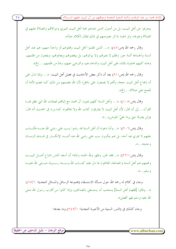الإمام محمد بن عبد الوهاب وأئمة الدعوة النجدية وموقفهم من آل البيت عليهم الســـــلام )

ينحرفوا عن أهل البيت، بل من أصول الدين عندهم محبة أهل البيت النبوي وموالاقمم والصلاة عليهم في الصلاة وغيرها، ولو ذهبنا نذكر نصوصهم في ذلك لطال الكلام جدًا».

وقال رحمه الله (ص:٨٧): «... الذين ظلموا أهل البيت وقتلوهم أو واحدًا منهم، هم عند أهل السنة والجماعة أئمة جور وظلم لا يحبولهم ولا يوالوفم، بل يبغضوفم ويعادوفم، ويلعنون من ظلمهم. وهذه كتبهم محشوة بالثناء على أهل البيت والدعاء لهم، والترضي عنهم، وذمّ من ظلمهم... إلخ».

وقال رحمه الله (ص:٩١) بعد أن ذكر بعض الأحاديث في فضل أهل البيت: «… وإنما تدل علمي أن إجماع أهل البيت حجة، وأُلهم لا يجمعون على باطل؛ لأن الله عصمهم من ذلك كما عصم الأمة أن تحتمع على ضلالة... إلخ».

وقال (ص:٥٠٥): «... وأهل السنة كلهم يحبون آل محمد مع إثباهم لصفات الله التي نطق هِـــا القرآن... إلى أن قال: لأن أهل البيت لا يفارقون كتاب الله ولا يخالفونه كما ورد في الحديث أنه قال: (ولن يفترقا حتى يردا علىّ الحوض)...».

وقال (ص:٢٠٦): «...وأما دعواه أن أهل السنة قد رضوا بسب على رضي الله عنـــه فكـــذب عليهم لا يمتري فيه أحد، بل هم ينكرون سب على رضي الله عنه أشــــد الإنكــــار في قــــديم الزمـــــان و حديثه...».

وقال (ص:٢٢١): «…فقد تقرر وظهر ولله الحمد والمنة؛ أن أسعد الناس باتباع أهــــل البيــــت ومحبتهم هم أهل السنة والجماعة، القائلون بما دل عليه كتـــاب الله وســـنة , ســـوله صـــلى الله عليـــه وسلم…».

وجاء في كلام له رحمه الله حول مسألة الاستسقاء (مجموعة الرسائل والمسائل النجدية: ٥/١٦): «...وقالوا [فقهاء أهل السنة] يستحب أن يستسقى بالصالحين، وإذا كانوا من أقارب رسول الله صلى الله عليه و سلم فهو أفضل».

وجاء كذلك في (الدرر السنية من الأجوبة النجدية: ٢٤٩/١) وما بعدها:

www.alburhan.com

(موقع البرهان – دليل الباحثين عن الحقيقة)

 $\mathbf{y}$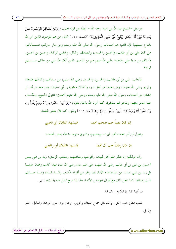«وسئل –الشيخ عبد الله بن محمد رحمه الله – أيضًا عن قوله تعالى: ((وَمَنْ يُشَـاقِقْ الرَّسُـولَ مِـنْ بَعْدِ مَا تَبَيَّنَ لَهُ الْهُدَى وَيَتَّبِعْ غَيْرَ سَبِيلِ الْمُؤْمِنِينَ)) [النسـاء:١١٥] الآية، من هم المؤمنون الذين أمر الله باتباع سبيلهم؟ فإن قلتم: هم أصحاب رسول الله صلى الله عليه وسلم ومن سار سيرتمم، فنســـألكم: هل كان على بن أبي طالب، والحسن والحسين، والصادق، والباقر، والنفس الزكية، وحسن بن الحسن، وأمثالهم من ذرية على وفاطمة رضي الله عنهم هم من المؤمنين الذين أنكر الله على من حالف ســــبيلهم أم لا؟

فأجاب: على بن أبي طالب، والحسن، والحسين رضي الله عنهم، من ساداقمه، وكذلك طلحة، والزبير رضي الله عنهما، ومن معهما من أهل بدر، وكذلك معاوية بن أبي سفيان، ومن معه من أهــــل الشام، من أصحاب رسول الله صلى الله عليه وسلم ورضى الله عنهم أجمعين؛ فنتولى الجميع، ونكــف عما شجر بينهم، وندعو لهم بالمغفرة، كما أمرنا الله بذلك بقوله: ((وَالَّذِينَ جَاءُوا مِنْ بَعْـٰدِهِمْ يَقُولُـونَ رَبَّنَا اغْفِرْ لَنَا وَلاِخْوَانِنَا الَّذِينَ سَبَقُونَا بِالإِيمَانِ)) [الحشر:١٠] ونقول كما قال بعض العلماء:

> فليشهد الثقلان أبي ناصبي ان کان نصباً جب صحب محمد

ونقول لمن أمر بمعاداة أهل البيت، وبغضهم، والتبري منهم، ما قاله بعض العلماء:

فليشهد الثقلان أبي رافضي إن كان , فضاً حب آل محمد

وأما قولكم: إنا ننكر علم أهل البيت، وأقوالهم، ومذاهبهم، ومذهب الزيدي: زيد بن علي بـــن الحسين بن علي بن أبي طالب رضي الله عنهم، علي علم حده رضي الله عنه، فهذا كذب وهِتان علينــــا بل زيد بن على عندنا، من علماء هذه الأمة، فما وافق من أقواله الكتاب والسنة قبلناه، ومـــا خـــالف ذلك رددناه، كما نفعل ذلك مع أقوال غيره من الأئمة، هذا إذا صح النقل عنه بذلك» انتهى.

فيا أيها القارئ الكريم رعاك الله:

بقلب ممتلئ بحب الحق.. وأذن تأبي سماع البهتان والزور.. وعين ترى بنور البرهان والدليل؛ انظر و تأمل:

موقع البرهان – دليل الباحثين عن الحقيقة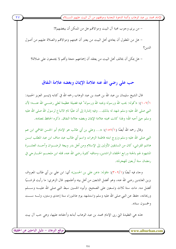الإمام محمد بن عبد الوهاب وأئمة الدعوة النجدية وموقفهم من آل البيت عليهم الســـــلام ِ

– من يرى وجوب محبة آل البيت وموالاقمم هل من الممكن أن يبغضهم؟! – هل من المعقول أن يعادي أهل البيت من يعتبر أن محبتهم وموالاقمم والصلاة عليهم من أصول الدين؟

– هل يمكن أن يخالف أهل البيت من يعتقد أن إجماعهم حجة وألهم لا يجتمعون على ضلالة؟

### حب على رضي الله عنه علامة الإيمان وبغضه علامة النفاق

قال الشيخ سليمان بن عبد الله بن محمد بن عبد الوهاب رحمه الله في كتابه (تيسير العزيز الحميد: ٠/١٠٧/١): «"قوله: يحب الله ورسوله ويحبه الله ورسوله" فيه فضيلة عظيمة لعلبي رضـــي الله عنــــه؛ لأن النبي صلى الله عليه وسلم شهد له بذلك... وفيه إشارة إلى أن عليًا تام الاتباع لرسول الله صلى الله عليه وسلم حتى أحبه الله؛ ولهذا كانت محبته علامة الإيمان وبغضه علامة النفاق. ذكره الحافظ بمعناه».

وقال رحمه الله أيضًا (١/٥٧): «... وعلى بن أبي طالب هو الإمام أبو الحسن الهاشمي ابن عم النبي صلى الله عليه وسلم وزوج ابنته فاطمة الزهراء، واسم أبي طالب عبد مناف ابن عبد المطلب ابسن هاشم القرشي، كان من السابقين الأولين إلى الإسلام ومن أهل بدر وبيعة الرضـــوان وأحـــد العشـــرة المشهود لهم بالجنة ورابع الخلفاء الراشدين، ومناقبه كثيرة رضي الله عنه، قتله ابن ملحــــم الخــــارجي في رمضان سنة أربعين للهجرة».

وجاء فيه أيضًا (٣٠٩/١): «قوله: «عن علي بن الحسين» أي: ابن علي بن أبي طالب المعروف بزين العابدين رضي الله عنه، وهو أفضل التابعين من أهل بيته وأعلمهم. قال الزهري: ما رأيت قرشـــيًا أفضل منه. مات سنة ثلاث وتسعين على الصحيح. وأبوه الحسين سبط النبي صلى الله عليـــه وســــلم وريحانته، حفظ عن النبي صلى الله عليه وسلم واستشهد يوم عاشوراء سنة إحدى وستين، ولـــه ســـت و خمسون سنة».

هذه هي العقيدة التي ربي الإمام محمد بن عبد الوهاب أبناءه وأحفاده عليها، وهي حب آل بيت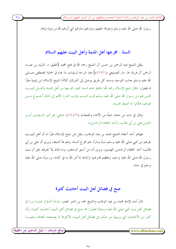الإمام محمد بن عبد الوهاب وأئمة الدعوة النحدية وموقفهم من آل البيت عليهم الســـــلام ِ

 $\mathbf{Y}$ 

رسول الله صلى الله عليه وسلم ومعرفة حقهم، وإنزالهم منازلهم التي أنزلهم الله ورسوله إياها.

### السنة. . مخرجها أهل المدينة وأهل البيت عليهم السلام

ينقل الشيخ عبد الرحمن بن حسن آل الشيخ رحمه الله في فتح المحيد [تحقيق: د. الوليد بن عبــــد الله عليه وسلم حناب التوحيد وسده كل طريق يوصل إلى الشرك) كلامًا لشيخ الإسلام ابن تيمية مقرًا له فيقول: «قال شيخ الإسلام رحمه الله: فانظر هذه السنة كيف مخرجها من أهل المدينة وأهــــل البيــــت الذين لهم من رسول الله صلى الله عليه وسلم قرب النسب وقرب الدار؛ لألهم إلى ذلك أحــــوج مــــن غيرهم، فكانوا له أضبط.اهــ».

وقال في باب من ححد شيئًا من الأسماء والصفات (٢/٤/٢): «علي: هو أمير المـــؤمنين أبــــو الحسن على بن أبي طالب، وأحد الخلفاء الراشدين».

فهاهو أحد أحفاد الشيخ محمد بن عبد الوهاب، ينقل عن شيخ الإسلام مقرًا له أن أهل البيـــت بقرهم من النبي صلى الله عليه وسلم نسبًا ودارًا، هم مخرج السنة، وهم لها أضبط، ويرى أن على بن أبي طالب؛ أحد الحلفاء الراشدين المهديين، ويرى أنه من أسبق السابقين، وما ذلك إلا لمعرفته بحق آل بيت رسول الله صلى الله عليه وسلم، وتعظيم قدرهم؛ واتباعه لما أمر الله به في كتابه، ورسوله صلى الله عليه وسلم في سنته.

### صح في فضائل أهل البيت أحاديث كثيرة

قال أبناء الإمام محمد بن عبد الوهاب والشيخ حمد بن ناصر المعمر: «وأما السؤال عمــــا ورد في فضائل أهل بيت النبي صلى الله عليه وسلم؟ فنقول: قد صح في فضائل أهل البيت أحاديث كثيرة؛ وأما كثيرٍ من الأحاديث التي يرويها من صنَّف في فضائل أهل البيت، فأكثرها لا يصححه الحفاظ، وفيمـــا

موقع البرهان – دليل الباحثين عن الحقيقة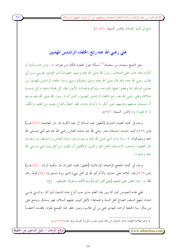الإمام محمد بن عبد الوهاب وأئمة الدعوة النحدية وموقفهم من آل البيت عليهم الســـ

صح في ذلك كفاية». (الدرر السنية: ٢٠٨/١)

على رضى الله عنه رابع الخلفاء الراشدين المهديين

سئل الشيخ سليمان بن سحمان<sup>(١)</sup> مسألة حول الهجرة فكان من جوابه: «…ومن عاب ذلك أو أنكره، فقد عاب على أصحاب رسول الله صلى الله عليه وسلم، خصوصًا أمير المؤمنين علــــى بــــن أبي طالب رضي الله عنه، وقد قال صلى الله عليه وسلم: (عليكم بسنتي وسنة الخلفاء الراشدين المهديين من بعدي، تمسكوا ها وعضوا عليها بالنواحذ، وإياكم ومحدثات الأمور؛ فإن كل محدثة بدعة، وكل بدعـــة ضلالة) وعلى رضي الله عنه رابع الخلفاء الراشدين المهديين، الذين أمرنا رسول الله صلى الله عليه وسلم أن نتمسك بسنتهم وهديهم، فمن أنكر ما ذكرناه وعابه، فقد أخطأ وأضاع نصيبه من العلم، وتكلَّف ما لا علم له به» (الدرر السنية: ٥٩/١).

وجاء في كتابه الضياء الشارق [تحقيق: عبد السلام آل عبد الكريم ط: دار العاصمة ١٤١٢هـ] (ص:٥٥٢) تحت حديث استسقاء عمر رضي الله عنه بدعاء العباس رضي الله عنه عم النبي صـــــلي الله عليه وسلم قوله: «…ولما مات النبي صلى الله عليه وسلم توسلوا بدعاء العباس، واستسقوا به، ولهـــذا قال الفقهاء: يستحب الاستسقاء بأهل الخير والدين، والأفضل أن يكونوا من أهل بيت النبي صــــلي الله عليه و سلم ».

وجاء في كتابه الحجج الواضحة الإسلامية [تحقيق: محمد الفوزان ط: مكتبة الرشد ١٤٢٠هـ] (ص:٣١٢) عند كلامه على حديث (أذكركم الله في أهل بيتي) الذي رواه مسلم (٢٤٠٨) قوله رحمه الله: «…فيه الحض على محبتهم [يعني أهل البيت] وموالاقمم، ومعرفة حقوقهم… إلخ».

ففي هذه النصوص المباركة يبين هذا العَلَم مدى حب أتباع هذه الدعوة المباركة –والــــتي هـــــي امتداد لمنهج السلف الصالح أهل السنة والجماعة– لأهل البيت عليهم السلام، فهو يستنكر ويشنع على من ينكر سنة الحليفة الراشد المهدي على بن أبي طالب، ويبين خطر هذا الصنيع بقوله: (فقـــد أخطـــأ

(١) هو العلامة الفهامة شاعر الدعوة، من بلاد عسير حنوب الجزيرة العربية، توفي عام (١٣٤٩هـ).

موقع البرهان – دليل الباحثين عن الحقيقة www.alburhan.com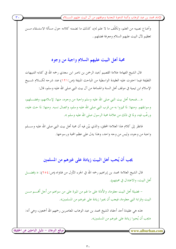الإمام محمد بن عبد الوهاب وأئمة الدعوة النحدية وموقفهم من آل البيت عليهم الســــلام )

وأضاع نصيبه من العلم، وتكلَّف ما لا علم له)، كذلك ما تضمنه كلامه حول مسألة الاستسقاء مـــن تعظيم لآل البيت عليهم السلام ومعرفة فضلهم..

### محبة أهل البيت عليهم السلام واجبة من وجوه

قال الشيخ الفهامة علامة القصيم /عبد الرحمن بن ناصر ابن سعدي رحمه الله في كتابه التنبيهات اللطيفة فيما احتوت عليه العقيدة الواسطية من المباحث المنيفة (ص:١٢١) عند شرحه لكـــلام شـــيخ الإسلام ابن تيمية في موقف أهل السنة والجماعة من آل بيت النبي صلى الله عليه وسلم، قال:

«…فمحبة أهل بيت النبي صلى الله عليه وسلم واجبة من وجوه، منها: لإسلامهم، وفضـــلهم، وسوابقهم. ومنها: لما تميزوا به من قرب النبي صلى الله عليه وسلم، واتصال نسبه. ومنها: لما حث عليه، ورغَّب فيه، ولما في ذلك من علامة محبة الرسول صلى الله عليه وسلم ».

فانظر إلى كلام هذا العلامة المحقق، والذي بيّن فيه أن محبة أهل بيت النبي صلى الله عليه وســــلم واجبة من وجوه، وليس من وجه واحد، وهذا يدل على عظم المحبة ورسوحها.

# يجب أن يُحب أهل البيت زيادة على غيرهم من المسلمين

قال الشيخ العلامة محمد بن إبراهيم رحمه الله في الجزء الأول من فتاواه (ص:٢٥٤): « (فضــــل أهل البيت، والاعتدال في محبتهم).

– فضيلة أهل البيت معلومة، والأدلة على ما لهم من الميزة على من سواهم من أحل أُهْــــم مــــن البيت وقرابة النبي معلومة، فيجب أن يحبوا زيادة على غيرهم من المسلمين».

هذه هي عقيدة أحد أحفاد الشيخ محمد بن عبد الوهاب المعاصرين رحمهم الله أجمعين، وهي أنه: «يجب أن يُحبوا زيادة على غيرهم من المسلمين».

موقع البرهان – دليل الباحثين عن الحقيقة ً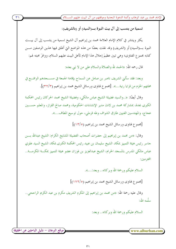الإمام محمد بن عبد الوهاب وأئمة الدعوة النجدية وموقفهم من آل البيت عليهم الســـــلام ً

يكثر وينتشر في كلام الإمام العلامة محمد بن إبراهيم آل الشيخ تسمية من ينتسب إلى آل بيـــت النبوة بـــــ(السيد) أو (الشريف) وقد نقلت بعضًا من هذه المواضع التي أطلق فيها هذين الوصفين مـــــن كتابه محموع الفتاوى؛ وهي تبين عظيمَ إحلال هذا الإمام لأهل البيت عليهم السلام، ووافرَ محبته لهم:

قال رحمه الله: «الحمد لله والصلاة والسلام على من لا نبي بعده:

وبعد: فقد سألني الشريف ناصر بن صامل عن السماح بإقامة الجمعة في مســــجدهم الواقــــع في محلتهم الحزم من قرايا رنية...». [مجموع فتاوى ورسائل الشيخ محمد بن إبراهيم (٣٢/٣)].

وقال أيضًا: «..والسيد فضيلة الشيخ عباس مالكي، وفضيلة الشيخ محمد الحركان رئيس المحكمة الكبرى بجدة، بمشاركة محمد بن لادن مدير الإنشاءات الحكومية، ومحمد صالح القزاز، والمعلم حســـين عجاج، والمهندسين الفنيين طارق الشواف وطه قرملي، حول توسيع المطاف...».

[مجموع فتاوى ورسائل الشيخ محمد بن إبراهيم (١٣/٥)]

وقال: «من محمد بن إبراهيم إلى حضرات أصحاب الفضيلة المشايخ الكرام: الشيخ عبدالله بــــن جاسر رئيس هيئة التمييز بمكة، الشيخ سليمان بن عبيد رئيس المحكمة الكبرى بمكة، الشيخ السيد علوي عباس مالكي المدرس بالمسحد الحرام، الشيخ عبدالعزيز بن فوزان عضو هيئة التمييز بمكـــة المكرمــــة.. المحترمين:

السلام عليكم ورحمة الله وبركاته.. وبعد:...». [محموع فتاوى ورسائل الشيخ محمد بن إبراهيم (١٧٢/٥)] وقال عليه رحمة الله: «من محمد بن إبراهيم إلى المكرم الشريف مكرم بن عبد الكريم الراجحي.. سلّمه الله: السلام عليكم ورحمة الله وبركاته.. وبعد: (موقع البرهان – دليل الباحثين عن الحقيقة) www.alburhan.com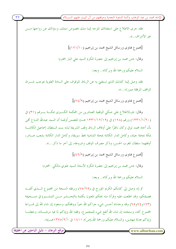الإمام محمد بن عبد الوهاب وأئمة الدعوة النجدية وموقفهم من آل البيت عليهم الســـــلام )

فقد جرى الاطلاع على استفتائك الموجه إلينا منك بخصوص ابنتك، وسؤالك عن زواجها مـــن غير الأشراف..». [محموع فتاوى ورسائل الشيخ محمد بن إبراهيم (١٢١/١٠)] وقال: «من محمد بن إبراهيم إلى حضرة المكرم السيد على البار المحترم: السلام عليكم ورحمة الله وبركاته.. وبعد: فقد وصل إلينا كتابك الذي تستفيَّ به عن الرباط الموقوف على السادة العلوية بموجب شـــرط الواقف المرفقة صورته...». [محموع فتاوى ورسائل الشيخ محمد بن إبراهيم (٧٤/٩)] وقال: «وبالاطلاع على صكَّى الوقفية الصادرين من المحكمة الكـــبرى بمكـــة بــــرقم (٣١) في (١٣٣١/١/٢٠) ورقم (١٢٨) في (١٢/١٢/١٩هـــ) المتضمن أولهما أن السيد عبدالله الدباغ ألهي بأن أحاه محمد توفى وكان ناظرًا على أوقاف الرباط وقف الشريفة لبابه بنت السلطان إسماعيل الكائنـــة بمكة بمحلة جياد، وكامل الدار الكائنة بمحلة الشامية بخط سويقة، وكامل الدار الكائنة بشعب عــــامر، أوقفهما سلطان المغرب الحسن، وذكر مصرف الوقف وشروطه، إلى آخر ما ذكر...». [محموع فتاوى ورسائل الشيخ محمد بن إبراهيم (٤٢/٩)] وقال: «من محمد بن إبراهيم إلى حضرة المكرم الأستاذ السيد علوي مالكي. المحترم: السلام عليكم ورحمة الله وبركاته.. وبعد: ثم إنه وصل إلي كتابكم الكريم المؤرخ في (٢٩/٢٩) وبرفقه النسخة من المحموع الــــذي ألفــــه فضيلتكم، وقد اطلعت عليه وقرأنا منه بحثكم المعنون بكلمة (التحــــذير مــــن التبشــــير) في صــــحيفة (١٧٣و٤٧و٧٥) وقد وجدناه أحسن شيء جزاكم الله خيرًا ووفقكم، وسنعود إن شاء الله إلى قــــراءة المحموع كله، وسنجده إن شاء الله أنفع شيء للمجموع، وفقنا الله وإياكم لما فيه مرضـــاته، وجعلنـــا

 $\mathsf{r}\mathsf{r}$ 

(موقع البرهان – دليل الباحثين عن الحقيقة)  $\leq$  www.alburhan.com

وإياكم هداة مهتدين، والسلام عليكم ورحمة الله.(ص/م ١٤١١ في ١٣٧٥/٢/١هــ)».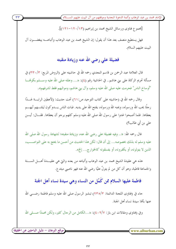الإمام محمد بن عبد الوهاب وأئمة الدعوة النجدية وموقفهم من آل البيت عليهم الســـــلام ۖ

[مجموع فتاوى ورسائل الشيخ محمد بن إبراهيم (١٢٠/١٢٠)]. فهل يستطيع منصف بعد هذا أن يقول: إن الشيخ محمد بن عبد الوهاب وأتباعــــه يبغضـــــون آل البيت عليهم السلام.

## فضيلة على رضي الله عنه وزيادة منقبته

قال العلامة عبد الرحمن بن قاسم النجدي رحمه الله في حاشيته على (الروض المربع: ٣٣٠/٣) في مسألة تحريم الزكاة على بني هاشم.. في الحاشية رقم (٤): «… وعلله صلى الله عليه وســــلم بكوفمــــا "أوساخ الناس" فحرمت عليه صلى الله عليه وسلم، وآل بني هاشم، ومواليهم فقط لشرفهم».

وقال رحمه الله في (حاشيته على كتاب التوحيد ص:٢١) تحت حديث: (لأعطين الرايسة غـــدًا رحلًا يحب الله ورسوله، ويحبه الله ورسوله، يفتح الله على يديه. فبات الناس يــــدوكون ليلتــــهم أيهــــم يعطاها. فلما أصبحوا غدوا على رسول الله صلى الله عليه وسلم كلهم يرجو أن يعطاها. فقـــال: أيــــن على بن أبي طالب؟)

قال رحمه الله: «.. وفيه فضيلة على رضي الله عنه، وزيادة منقبته؛ لشهادة رسول الله صلى الله عليه وسلم له بذلك بخصوصه... إلى أن قال: لكن هذا الحديث من أحسن ما يحتج به على النواصـــب، الذين لا يتولونه، أو يكفرونه، أو يفسقونه كالخوارج... إلخ».

هذه هي عقيدة الشيخ محمد بن عبد الوهاب وأتباعه من بعده والتي هي عقيـــدة أهــــل الســــنة والجماعة قاطبة، وهو أن كل من لم يتولُّ عليًا رضي الله عنه فهو ناصبي مبتدع.

فاطمة عليها السلام ممن كَمُل من النساء وهي سيدة نساء أهل الجنة

حاء في (فتاوى اللحنة الدائمة: ٢٣٥/٣) تبشير الرسول صلى الله عليه وسلم فاطمة رضــــي الله عنها بألها سيدة نساء أهل الجنة.

وفي (فتاوى ومقالات ابن باز: ٤٠٢/٧): «…الكامل من الرحال كثير، ولكن محمدًا صـــــلى الله

موقع البرهان – دليل الباحثين عن الحقيقة <u>ً</u>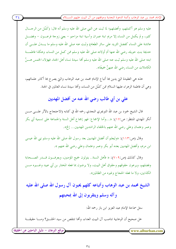الإمام محمد بن عبد الوهاب وأئمة الدعوة النحدية وموقفهم من آل البيت عليهم الســـــلام )

عليه وسلم هو أكملهم، وأفضلهم؛ لما ثبت عن النبي صلى الله عليه وسلم أنه قال: (كَمُل من الرحـــال كثير، ولم يكمل من النساء إلا مريم ابنة عمران وأسية ابنة مزاحم – يعني زوجة فرعـــون – وفضــــل عائشة على النساء كفضل الثريد على سائر الطعام) وثبت عنه صلى الله عليه وسلم ما يـــدل علـــي أن حديجة بنت خويلد رضي الله عنها أم أولاده صلى الله عليه وسلم ممن كمل من النساء، وهكذا فاطمــــة ابنته صلى الله عليه وسلم ثبت عنه صلى الله عليه وسلم ألها سيدة نساء أهل الجنة، فهؤلاء الخمس هــــنَّ الكاملات من النساء رضي الله عنهنَّ جميعًا».

هذه هي العقيدة التي يدين ها أتباع الإمام محمد بن عبد الوهاب والتي يصرح ها أكابر علمائهم، وهي أن فاطمة الزهراء عليها السلام ممن كمُل من النساء، وألها سيدة نساء العالمين في الجنة.

على بن أبي طالب رضي الله عنه من أفضل المهديين

قال الشيخ حمود بن عبد الله التويجري النجدي رحمه الله في كتابه (الاحتجاج بالأثر علــــي مــــن أنكر المهدي المنتظر: ص:١٧): «...وأما الإجماع: فهو إجماع أهل السنة والجماعة على تسمية أبي بكر وعمر وعثمان وعلى رضي الله عنهم بالخلفاء الراشدين المهديين... إلخ».

وقال (ص:١١٣): «وليعلم أن أفضل المهديين بعد رسول الله صلى الله عليه وسلم نبي الله عيسى ابن مريم، وأفضل المهديين بعده أبو بكر وعمر وعثمان وعلى رضي الله عنهم ».

وقال كذلك (ص:٧٠٩): « فأهل السنة.. يتولون جميع المؤمنين، ويعرفــون قـــدر الصـــحابة وفضلهم، ويرعون حقوقهم وحقوق أهل البيت، ولا يرضون بما فعله المختار بن أبي عبيد وغــــيره مــــن الكذابين، ولا ما فعله الحجاج وغيره من الظالمين».

الشيخ محمد بن عبد الوهاب وأتباعه كلهم يحبون آل رسول الله صلى الله عليه و آله وسلم ويتقربون إلى الله بمحبتهم

سئل سماحة الإمام عبد العزيز ابن باز رحمه الله:

هل صحيح أن الوهابية تناصب آل البيت العداء، وألها تنتقص من سيد الخلــــق؟ ومـــــا حقيقــــة

(موقع البرهان – دليل الباحثين عن الحقيقة)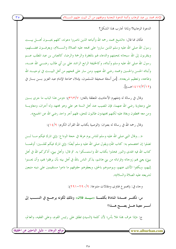الإمام محمد بن عبد الوهاب وأئمة الدعوة النجدية وموقفهم من آل البيت عليهم الســـــلام ً

 $r \circ$ 

الدعوة الوهابية؟ ولماذا تحارب هذا الشكل؟

فكان مما قال: «الشيخ محمد رحمه الله وأتباعه الذين ناصروا دعوته، كلهم يحبـــون أهــــل بيــــت رسول الله صلى الله عليه وسلم الذين ساروا على فمجه عليه الصلاة والســــلام، ويعرفـــون فضــــلهم، ويتقربون إلى الله سبحانه بمحبتهم والدعاء لهم بالمغفرة والرحمة والرضا، كالعباس بن عبد المطلب عــــم رسول الله صلى الله عليه وسلم وأبنائه، وكالخليفة الرابع الراشد على بن أبي طالب رضــــى الله عنــــه، وأبنائه الحسن والحسين ومحمد رضي الله عنهم، ومن سار على فمجهم من أهل البيـــت في توحيـــد الله وطاعته، وتعظيم شريعته». [من أسئلة صحيفة المسلمون، بإملاء سماحة الإمام عبد العزيز بـــن بـــاز في  $\frac{1}{2}$   $\frac{1}{2}$   $\frac{1}{2}$   $\frac{1}{2}$   $\frac{1}{2}$   $\frac{1}{2}$   $\frac{1}{2}$ 

وقال في رسالة له (مفهوم الأحاديث المتعلقة بالفتن: ٣٦٣/٧): «ومن هذا الباب ما جرى بسين على ومعاوية رضى الله عنهما، فإن المصيب عند أهل السنة هو على وهو مجتهد وله أجران، ومعاويـــة ومن معه مخطئون وبغاة عليه لكنهم مجتهدون طالبون للحق، فلهم أحر واحد رضي الله عن الجميع».

وقال رحمه الله في رسالة له بعنوان: (الوصية بكتاب الله القرآن الكريم: ٤/٩/١):

«…وقال النبي صلى الله عليه وسلم للناس يوم عرفة في حجة الوداع: (إي تارك فيكم مــــا لــــن تضلوا إن اعتصمتم به: كتاب الله) ويقول صلى الله عليه وسلم أيضًا: (إين تارك فيكم ثقلـــين: أولهمــــا كتاب الله فيه الهدى والنور فخذوا بكتاب الله واستمسكوا به. ثم قال: وأهل بيتي، أذكركم الله في أهل بيتي) يعني بمم زوجاته وقراباته من بني هاشم، يذكر الناس بالله في أهل بيته بأن يرفقوا بمم، وأن يحسنوا إليهم، ويكفوا الأذى عنهم، ويوصوهم بالحق، ويعطوهم حقوقهم ما داموا مستقيمين على دينه متبعين لشريعته عليه الصلاة والسلام».

وجاء في: (مجموع فتاوى ومقالات متنوعة: ٢٩٠/٩-٢٩١):

س: تكثـــر عنـــدنا المناداة بكلمـــة «سيـــد فلان» وذلك لكونه يرجـــع في النســـب إلى أســـــــــو معينة هـــــــــل يصـــــــح هــــــذا؟ ج: «إذا عرف هذا فلا بأس؛ لأن كلمة (السيد) تطلق على رئيس القوم، وعلى الفقيه، والعالم، موقع البرهان – دليل الباحثين عن الحقيقة  $\mathbf{w}$ ww.alburhan.com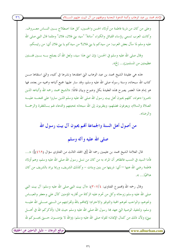الإمام محمد بن عبد الوهاب وأئمة الدعوة النجدية وموقفهم من آل البيت عليهم الســـــلام )

وعلى من كان من ذرية فاطمة من أولاد الحسن والحسين، كل هذا اصطلاح بسين النساس معسروف. وكانت العرب تسمى رؤساء القبائل والكبراء "سادة" "سيد بني فلان، فلان" ومثلما قال النبي صلى الله عليه وسلم لما سأل بعض العرب: من سيدكم يا بني فلان؟ من سيدكم يا بني فلان أي: من رئيسكم.

وقال صلى الله عليه وسلم في الحسن: (إن ابني هذا سيد، ولعل الله أن يصلح بــــه بــــين فئــــتين عظيمتين من المسلمين)... إلخ».

هذه هي عقيدة الشيخ محمد بن عبد الوهاب التي اعتقدها ونشرها في كتبه، والتي استقاها مـــن كتاب الله سبحانه، وسنة رسوله صلى الله عليه وسلم، وقد سار عليها جميع أتباعه ومحبيه من بعده، فها هو إمام هذا العصر يصرح هذه العقيدة بكل وضوح وبيان قائلًا: «الشيخ محمد رحمه الله وأتباعه الذين ناصروا دعوته، كلهم يحبون أهل بيت رسول الله صلى الله عليه وسلم الذين ساروا على فمجــــه عليــــه الصلاة والسلام، ويعرفون فضلهم، ويتقربون إلى الله سبحانه بمحبتهم والدعاء لهم بـــالمغفرة والرحمـــة والرضا».

من أصول أهل السنة والجماعة أفمم يحبون آل بيت رسول الله

صلى الله عليه وآله وسلم

قال العلامة الشيخ محمد بن عثيمين رحمه الله [في المجلد الثالث من الفتاوي سؤال (٤٦٩)]: «... فأما السيد في النسب فالظاهر أن المراد به من كان من نسل رسول الله صلى الله عليه وسلم، وهم أولاد فاطمة رضي الله عنها — أي: ذريتها من بنين وبنات – وكذلك الشريف، وربما يراد بالشريف من كان هاشميًا… ».

وقال رحمه الله (مجموع الفتاوى: ٣٠٧/٤): «آل بيت النبي صلى الله عليه وسلم: آل بيت النبي صلى الله عليه وسلم زوجاته وكل من تحرم عليه الزكاة من أقاربه المؤمنين كآل على وجعفر والعبـــاس ونحوهم، والواجب نحوهم المحبة والتوقير والاحترام؛ لإيماهم بالله ولقرابتهم من السنبي صــــلي الله عليــــه وسلم، ولتنفيذ الوصية التي عهد بما رسول الله صلى الله عليه وسلم حيث قال: (أذكركم الله في أهــــل بيتي) ولأن ذلك من كمال الإيمان؛ لقوله صلى الله عليه وسلم: (والله لا يؤمنـــون حــــتي يحبــــوكم لله

موقع البرهان – دليل الباحثين عن الحقيقة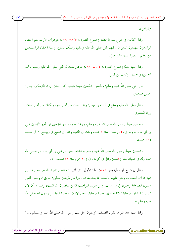الإمام محمد بن عبد الوهاب وأئمة الدعوة النجدية وموقفهم من آل البيت عليهم الســــلام ً

ولقرابتي).

وقال كذلك في شرح لمعة الاعتقاد (مجموع الفتاوى: ٧٨/٥-٧٩): «وهؤلاء الأربعة هم الخلفاء الراشدون المهديون الذين قال فيهم النبي صلى الله عليه وسلم: (عليكم بسنتي، وسنة الخلفاء الراشــــدين من بعدي، عضوا عليها بالنواجذ).

وقال فيها أيضًا (مجموع الفتاوي: ٨٠/٥-٨١): «وممن شهد له النبي صلى الله عليه وسلم بالجنة الحسن، والحسين، وثابت بن قيس.

قال النبي صلى الله عليه وسلم: (الحسن والحسين سيدا شباب أهل الجنة). رواه الترمذي، وقال: حسن صحيح.

وقال صلى الله عليه وسلم في ثابت بن قيس: (إنك لست من أهل النار ، ولكنك من أهل الجنة). , واه البخاري.

فالحسن سبط رسول الله صلى الله عليه وسلم، وريحانته، وهو أمير المؤمنين ابن أمير المؤمنين علي بن أبي طالب، ولد في (١٥رمضان سنة ٣ هـــ) ومات في المدينة ودفن في البقيع في ربيــــع الأول ســــنة  $(-80)$ 

والحسين سبط رسول الله صلى الله عليه وسلم وريحانته، وهو ابن علي بن أبي طالب رضــــي الله عنه، ولد في شعبان سنة (٤هــ) وقتل في كربلاء في (١٠ محرم سنة ٢١هــ)... ».

وقال في شرح الواسطية (ص:٨٨] [ط: الأولى. دار الثريا]: «فنحن نشهد الله عز وجل علـــي محبة هؤلاء الصحابة، ونثني عليهم بألسنتنا بما يستحقون، ونبرأ من طريقين ضالين: طريق الروافض الذين يسبون الصحابة ويغلون في آل البيت، ومن طريق النواصب الذين يبغضون آل البيت، ونـــرى أن لآل البيت إذا كانوا صحابة ثلاثة حقوق: حق الصحابة، وحق الإيمان، وحق القرابة من رسول الله صلى الله عليه وسلم».

وقال فيها عند شرحه لقول المصنف: "ويحبون أهل بيت رسول الله صلى الله عليه وســـلم …"

مُوقع البرهان – دليل الباحثين عن الحقيقة ً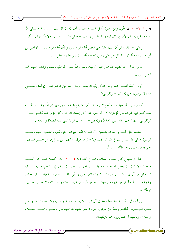الإمام محمد بن عبد الوهاب وأئمة الدعوة النجدية وموقفهم من آل البيت عليهم الســــلام )

 $\mathsf{r}_\Lambda$ 

(ص:٢٠٨-٢١٠): «أي: ومن أصول أهل السنة والجماعة ألهم يحبون آل بيت رسول الله صــــلى الله عليه وسلم، يحبوفمم لأمرين: للإيمان، وللقرابة من رسول الله صلى الله عليه وسلم، ولا يكرهوفمم أبدًا.

وعلى هذا فلا يمكن أن نحب عليًا حتى نبغض أبا بكر وعمر، وكأن أبا بكر وعمر أعداء لعلي بن أبي طالب، مع أنه تواتر النقل عن علي رضي الله عنه أنه كان يثني عليهما على المنبر.

فنحن نقول: إننا نُشهد الله على محبة آل بيت رسول الله صلى الله عليه وسلم وقرابته، نحبهم لمحبة الله ورسوله...

"وقال أيضًا للعباس عمه وقد اشتكى إليه أن بعض قريش يجفو بني هاشم فقال: (والذي نفســـي بيده لا يؤمنون حتى يحبوكم لله ولقرابتي)".

أقسم صلى الله عليه وسلم ألهم لا يؤمنون، أي: لا يتم إيمالهم، حتى يحبوكم لله، وهــــذه المحبــــة يشاركهم فيها غيرهم من المؤمنين؛ لأن الواحب على كل إنسان أن يحب كل مؤمن لله، لكــــن قــــال: "ولقرابيّ": فهذا حب زائد على المحبة لله، ويختص به آل البيت قرابة النبي عليه الصلاة والسلام...

فعقيدة أهل السنة والجماعة بالنسبة لآل البيت: أفمم يحبوفمم ويتولوفمم، ويحفظون فيهم وصـــية الرسول صلى الله عليه وسلم في التذكير بمم، ولا يتزلونمم فوق مترلتهم، بل يتبرؤون ممن يغلـــو فـــيهم، حتى يوصلوهم إلى حد الألوهية...".

وقال في منهاج أهل السنة والجماعة (مجموع الفتاوى: ٢٠٤/٥): «...كذلك أيضًا أهل الســـنة والجماعة يقولون: إن بعض الصحابة له مزية ليست لغيرهم فيجب أن نترلهم في منازلهم، فـــإذا كــــان الصحابي من آل بيت الرسول عليه الصلاة والسلام كعلي بن أبي طالب، وحمزة، والعباس، وابن عباس وغيرهم فإننا نحبه أكثر من غيره من حيث قربه من الرسول عليه الصلاة والســــلام، لا علــــي ســــبيل الإطلاق...

إلى أن قال: وأهل السنة والجماعة في آل البيت لا يغلون غلو الروافض، ولا ينصبون العداوة لهم نصب النواصب، ولكنهم وسط بين طرفين، يعرفون لهم حقهم بقرابتهم من الرســـول عليــــه الصـــــلاة والسلام، ولكنهم لا يتجاوزون بهم منزلتهم».

www.alburhan.com

موقع البرهان – دليل الباحثين عن الحقيقة ً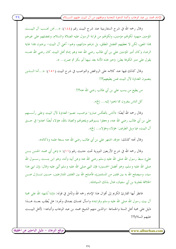وقال رحمه الله في شرح السفارينية عند شرح البيت رقم (١٨٤): «…نحن نحـــب آل البيـــت المؤمنين منهم؛ لكوفمم مؤمنين، ولكوفمم من قرابة الرسول عليه الصلاة والسلام، ونفضلهم على غيرهم هذا المعني، لكن لا نعطيهم الفضل المطلق، بل نترلهم مترلتهم، وهم– أعني آل البيت– يرضون هذا غاية الرضا، وكان أمير المؤمنين علي بن أبي طالب رضي الله عنه وهو إمام أهل البيت كان رضى الله عنــــه يقول على منبر الكوفة يعلن: (خير هذه الأمة بعد نبيها أبو بكر ثم عمر)… ».

وقال كذلك فيها عند كلامه على الروافض والنواصب في شرح البيت (١٥١): «…أما الـــــذين ينصبون العداوة لآل البيت فمن يطيعهم؟!!

من يطيع من يسب علي بن أبي طالب رضى الله عنه؟!!

كل الناس ينفرون مما ذهبوا إليه... إلخ».

وقال رحمه الله أيضًا: «أناس بالعكس صاروا نواصب، نصبوا العداوة لآل البيت وعلى رأســــهم على بن أبي طالب رضي الله عنه، وجعلوا يسبوهُم ويلعنوهُم والعياذ بالله، هؤلاء أيضًا اعتدوا في حـــق آل البيت، فيا ويل الطرفين: هؤلاء وهؤلاء... إلخ».

وقال تحته كذلك: «وقد اشتهر على بن أبي طالب رضي الله عنه بسعة علمه وذكائه».

وقال رحمه الله في شرح الأربعين النووية تحت حديث رقم (١١): « (عن أبي محمد الحسن بــــن علي) سبط رسول الله صلى الله عليه وسلم رضي الله عنه وعن أبيه وأمه، وهو ابن بنـــت رســــول الله صلى الله عليه وسلم، وهو أفضل الحسنين؛ فإن النبي صلى الله عليه وسلم أنْني عليه وقال: (إن ابني هذا سيد، وسيصلح الله به بين فئتين من المسلمين)، فأصلح الله بين الفئتين المتنازعتين، حــــين تنــــازل عــــن الخلافة لمعاوية بن أبي سفيان، فنال بذلك السيادة».

فانظر أيها القارئ الكريم إلى أقوال هذا الإمام رحمه الله وتأمل في قوله: «إننا نُشهد الله على محبة آل بيت رسول الله صلى الله عليه وسلم وقرابته» واسأل نفسك بصدق وتجرد: هل يُطلب بعـــد هــــذا دليل على محبة أهل السنة والجماعة –والذين منهم الشيخ محمد بن عبد الوهاب وأتباعه– لأهل البيـــت عليهم السلام؟!!

www.alburhan.com

موقع البرهان – دليل الباحثين عن الحقيقة ً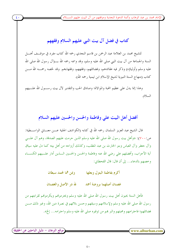الإمام محمد بن عبد الوهاب وأئمة الدعوة النجدية وموقفهم من آل البيت عليهم الســـــلام

# كتاب في فضل آل بيت النبي عليهم السلام وفقههم

للشيخ محمد بن العلامة عبد الرحمن بن قاسم النجدي رحمه الله كتاب مفرد في موقـــف أهــــل السنة والجماعة من آل بيت النبي صلى الله عليه وسلم، وقد وسمه رحمه الله بــــ(آل رسول الله صلى الله عليه وسلم وأولياؤه) وذكر فيه عقائدهم، وفضائلهم، وفقههم، وفقهاءهم. وقد لخصه رحمــــه الله مــــن كتاب (منهاج السنة النبوية لشيخ الإسلام ابن تيمية رحمه الله).

وهذا إنما يدل على عظيم المحبة والموالاة؛ وصادق الحب والتقدير لآل بيت رســـول الله علـــيهم السلام.

### أفضل أهل البيت على وفاطمة والحسن والحسين عليهم السلام

قال الشيخ عبد العزيز السلمان رحمه الله في كتابه (الكواشف الجلية عــــن معــــاين الواســــطية: ص: ٧٠٠): «وأهل بيت رسول الله صلى الله عليه وسلم الذين حرمت عليهم الصدقة، وهم آل علـــي وآل جعفر وآل العباس وبنو الحارث بن عبد المطلب، وكذلك أزواجه من أهل بيته كما دل عليه سياق آية الأحزاب، وأفضلهم على رضي الله عنه وفاطمة والحسن والحسين السذين أدار علسيهم الكسساء وخصهم بالدعاء... إلى أن قال: قال القحطان:

> أكرم بفاطمة البتول وبعلها وبمن هما لمحمد سبطان

لله در الأصل والغصنان غصنان أصلهما بروضة أهمد

فأهل السنة يحبون أهل بيت رسول الله صلى الله عليه وسلم ويحترمونمم ويكرمونمم لقرابتهم من رسول الله صلى الله عليه وسلم ولإسلامهم وسبقهم وحسن بلائهم في نصرة دين الله، وغير ذلك مــــن فضائلهم؛ فاحترامهم ومحبتهم والبر هم من توقيره صلى الله عليه وسلم واحترامه… إلخ».

موقع البرهان – دليل الباحثين عن الحقيقة ً

 $\epsilon$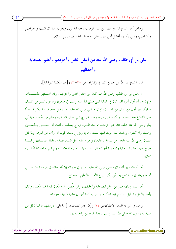وهاهو أحد أتباع الشيخ محمد بن عبد الوهاب رحمه الله يرى وجوب محبة آل البيت واحترامهم وإكرامهم، وعلى رأسهم أفضل أهل البيت على وفاطمة والحسنين عليهم السلام.

على بن أبي طالب رضي الله عنه من أعقل الناس وأحزمهم وأعلم الصحابة وأحفظهم

قال الشيخ عبد الله بن حبرين كما في (فتاواه: ص:٣٥-٣٦) [ط. المكتبة التوفيقية]:

«..علي بن أبي طالب رضي الله عنه كان من أعقل الناس وأحزمهم، وقد اشـــتهر بالشــــجاعة والإقدام، أما أول أمره فقد كان في كفالة النبي صلى الله عليه وسلم في صغره، ولما نزل الـــوحي كــــان صغيرًا، فهو أول من أسلم من الصبيان، ثم لازم النبي صلى الله عليه وسلم قبل الهجرة، و لم يكن قـــادرًا على الدفاع عنه لصغره، ولكونه على دينه، وعند خروج النبي صلى الله عليه وسلم من مكة صحبة أبي بكر رضي الله عنه خلفه فنام على فراشه، ثم بعد الهجرة تزوج بفاطمة فولدت له الحســــن والحســــين ومحسنًا وأم كلثوم، وماتت بعد موت أبيها بنصف عام، وتزوج بعدها فولد له أولاد من غيرها، ولما قتل عثمان رضي الله عنه بايعه أهل المدينة بالخلافة، وخرج عليه أهل الشام مطالبين بقتلة عثمــــان، وكــــذا حرج عليه بعض الصحابة وتوجهوا نحو العراق للطلب بالثأر من قتلة عثمان، و لم تتم له الخلافة لكثـــرة الفتن.

أما أعماله فهو أنه ملازم للنبي صلى الله عليه وسلم في غزواته إلا أنه خلفه في غزوة تبوك علــــى أهله، وبعثه في سنة تسع بعد أبي بكر، ليبلغ الأمان والتعليم للحجاج.

أما علمه وفقهه فهو من أعلم الصحابة وأحفظهم، ولو خلَص علمه لكان فيه الخير الكثير، وكان يأخذ بالنقل والدليل، فإن لم يجد نصًا احتهد برأيه كما أفتى في قضية الزبية وغيرها».

وجاء في شرحه للمعة الاعتقاد(ص: ١٧١)[ط. دار الصحيحين] ما يلي: «ونشهد بالجنة لكل من شهد له رسول الله صلى الله عليه وسلم بالجنّة كالحسن والحسين».

www.alburhan.com

 $\mathbf{5}$ 

موقع البرهان – دليل الباحثين عن الحقيقة ً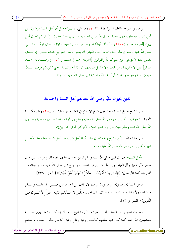الإمام محمد بن عبد الوهاب وأئمة الدعوة النجدية وموقفهم من آل البيت عليهم الســــلام )

وجاء في شرحه (للعقيدة الواسطية: ٢٢٥/٢) ما يلي: «...والحاصل أن أهل السنة يترضون عن أهل البيت ويحفظون فيهم وصية رسول الله صلى الله عليه وسلم في هذا الحديث: (أذكركم الله في أهل بيتيٍّ) [أخرجه مسلم (٢٤٠٨)]، كذلك أيضًا يحذرون من نقص العقيدة والإيمان الذي توعَّد به الــــنبي صلى الله عليه وسلم في هذا الحديث، لما أحبره العباس أن بعض قريش يجفو بني هاشم قـــال: (والــــذي نفسي بيده لا يؤمنوا حتى يحبوكم لله ولقرابتي) [أحرجه أحمد في المسند (٢٠٧/١) وصــححه أحمـــد شاكر] يعنى لا يكون إيمانهم كاملًا ولا تكمل متابعتهم إلا إذا أحبوكم لله، يعنى لكونكم مؤمنين بـــالله متبعين لسنة رسوله، وكذلك أيضًا يحبونكم لقرابة النبي صلى الله عليه وسلم ».

الذين يحبون عليًا رضي الله عنه هم أهل السنة والجماعة

قال الشيخ صالح الفوزان عند قول شيخ الإسلام في العقيدة الواسطية [(ص:٩٥) ط. مكتبـــة المعارف]: «ويحبون أهل بيت رسول الله صلى الله عليه وسلم ويتولونهم ويحفظون فيهم وصية رســــول الله صلى الله عليه وسلم حيث قال يوم غدير حم: (أذكركم الله في أهل بيتي)».

قال حفظه الله: «بيّن الشيخ رحمه الله في هذا مكانة أهل البيت عند أهل السنة والجماعة، وأفمـــم يحبون أهل بيت رسول الله صلى الله عليه وسلم.

«أهل البيت» هم آل النبي صلى الله عليه وسلم الذين حرمت عليهم الصدقة، وهم آل علي وآل جعفر وآل عقيل وآل العباس وبنو الحارث بن عبد المطلب، وأزواج النبي صلى الله عليه وسلم وبناته من أهل بيته كما قال تعالى: ((إِنَّمَا يُرِيدُ اللَّهُ لِيُذْهِبَ عَنْكُمْ الرِّجْسَ أَهْلَ الْبَيْتِ)) [الأحزاب:٣٣].

فأهل السنة يحبولهم ويحترمولهم ويكرمولهم؛ لأن ذلك من احترام النبي صــــلى الله عليــــه وســــلم وإكرامه، ولأن الله ورسوله قد أمرا بذلك، قال تعالى: ((قُـلْ لا أَسْـأَلُكُمْ عَلَيْـهِ أَجْـراً إلاَّ الْمَـوَدَّةَ فِـي الْقُرْبَى)) [الشوري:٢٣].

وجاءت نصوص من السنة بذلك – منها ما ذكره الشيخ – وذلك إذا كسانوا متسبعين للسسنة مستقيمين على الملة كما كان عليه سلفهم كالعباس وبنيه وعلى وبنيه. أما من حالف السنة ولم يستقم

www.alburhan.com

موقع البرهان – دليل الباحثين عن الحقيقة ً

 $55$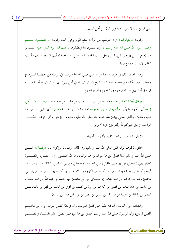الإمام محمد بن عبد الوهاب وأئمة الدعوة النحدية وموقفهم من آل البيت عليهم الســــلام ً

على الدين فإنه لا تجوز محبته ولو كان من أهل البيت.

وقوله: «ويتولونمم» أي: يحبونمم، من الولاية بفتح الواو وهي المحبة، وقوله: «ويحفظـــون فــــيهم وصية رسول الله صلى الله عليه وسلم » أي: يعملون ها ويطبقوها «حيث قال يوم غدير حم» الغــــدير هنا مجمع السيل (وخم) قيل: اسم رجل نسب الغدير إليه، وقيل: هو الغيظة، أي: الشجر الملتف، نُسب الغدير إليها لأنه واقع فيها.

وهذا الغدير كان في طريق المدينة مر به النبي صلى الله عليه وسلم في عودته من حجــــة الــــوداع وخطب فيه، فكان من خطبته ما ذكره الشيخ (أذكركم الله في أهل بيتي) أي: أذكركم ما أمر الله بــــه في حق أهل بيتي من احترامهم وإكرامهم والقيام بحقهم.

«وقال أيضًا للعباس عمه» هو العباس بن عبد المطلب بن هاشم بن عبد مناف «وقـــد اشـــتكي إليه» أي: أخبره بما يكره «أن بعض قريش يجفوه» الجفاء ترك البر والصلة «فقال» أي: النبي صـــــلمي الله عليه وسلم: (والذي نفسي بيده) هذا قسم منه صلى الله عليه وسلم (لا يؤمنون) أي: الإيمان الكامــــل الواحب (حتى يحبو كـم لله ولقرابتي) أي: لأمرين:

الأول: التقرب إلى الله بذلك؛ لألهم من أوليائه.

**الثاني**: لكوفمم قرابة النبي صلى الله عليه وسلم، وفي ذلك إرضاء له وإكرام له. «وقـــال» الــــنبي صلى الله عليه وسلم مبينًا فضل بني هاشم الذين هم قرابته: (إن الله اصطفى) أي: اختـــار، والصـــفوة الخيار (بني إسماعيل) ابن إبراهيم الحليل رضي الله عنه (واصطفى من بني إسماعيل كنانة) اســــم قبيلــــة، أبوهم كنانة بن خزيمة (واصطفى من كنانة قريشًا) وهم أولاد مضر بن كنانة (واصطفى من قريش بني هاشم) وهم بنو هاشم بن عبد مناف (واصطفاني من بني هاشم) فهو محمد بن عبد الله بن عبد المطلب بن هاشم بن عبد مناف بن قصبي بن كلاب بن مرة بن كعب بن لؤي بن غالب بن فهر بن مالك بــــن النضر بن كنانة بن خزيمة بن مدركة بن إلياس بن مضر بن نزار ابن معد بن عدنان.

والشاهد من الحديث: أن فيه دليلًا على فضل العرب، وأن قريشًا أفضل العرب، وأن بني هاشــــم أفضل قريش، وأن الرسول صلى الله عليه وسلم أفضل بني هاشم، فهو أفضل الخلق نفسًـــا، وأفضــــلهم

موقع البرهان – دليل الباحثين عن الحقيقة ً www.alburhan.com

 $55$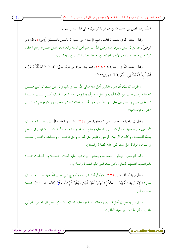الإمام محمد بن عبد الوهاب وأئمة الدعوة النحدية وموقفهم من آل البيت عليهم الســــلام ً

نسبًا، وفيه فضل بني هاشم الذين هم قرابة الرسول صلى الله عليه وسلم ».

وقال حفظه الله في تقديمه لكتاب (شيخ الإسلام ابن تيمية لم يكــــن ناصــــبيًا) [(ص:٥) ط: دار الوطن]: «…وأن الذين يحبون عليًا رضي الله عنه هم أهل السنة والجماعة، الذين يعتبرونه رابع الخلفاء الراشدين وأحد السابقين الأولين المهاجرين، وأحد العشرة المبشرين بالجنة… ».

وقال حفظه الله في (الفتاوى: ٣٣٥/١) عند بيان المراد من قوله تعالى: ((قُـلْ لا أَسْـأَلُكُمْ عَلَيْـهِ أَجْراً إلاَّ الْمَوَدَّةَ فِي الْقُرْبَى)) [الشورى:٢٣]:

«**القول الثالث**: أن المراد بالقربى أهل بيته صلى الله عليه وسلم، وأن معنى ذلك أن النبي صـــــلى الله عليه وسلم طلب من الأمة أن يحبوا أهل بيته وأن يوقروهم، وهذا حق؛ فـــإن أهــــل بيــــت النبــــوة الصالحين منهم والمستقيمين على دين الله لهم حق تجب مراعاته بمودقمم واحترامهم وتوقيرهم بمقتضـــي الشريعة الاسلامية».

وقال في (تعليقه المختصر على الطحاوية: ص:٢٢٧) [ط. دار العاصمة]: «...فهـــذا موقـــف المسلمين من صحابة رسول الله صلى الله عليه وسلم، يستغفرون لهم، ويسألون الله أن لا يجعل في قلوبهم بغضًا للصحابة، وكذلك آل بيت الرسول، فلهم حق القرابة وحق الإيمـــان، ومـــذهب أهــــل الســــنة والجماعة: موالاة أهل بيت النبي عليه الصلاة والسلام.

وأما النواصب: فيوالون الصحابة، ويبغضون بيت النبي عليه الصلاة والســــلام، ولــــذلك سمــــوا بالنواصب؛ لنصبهم العداوة لأهل بيت النبي عليه الصلاة والسلام».

وقال فيها كذلك (ص:٢٣٥): «وأول أهل البيت هم أزواج النبي صلى الله عليه وســــلم؛ قــــال تعالى: ((إِنَّمَا يُرِيدُ اللَّهُ لِيُذْهِبَ عَنْكُمْ الرِّجْسَ أَهْلَ الْبَيْتِ وَيُطَهِّرَكُمْ تَطْهِيراً)) [الأحـزاب:٣٣]، هــــذا خطاب لهن.

فأو ل من يدخل في أهل البيت: زوجاته، ثم قرابته عليه الصلاة والسلام، وهم آل العباس وآل أيي طالب، وآل الحارث ابن عبد المطلب».

www.alburhan.com

 $\epsilon$ 

موقع البرهان – دليل الباحثين عن الحقيقة <u>ً</u>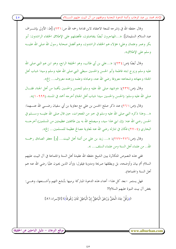الإمام محمد بن عبد الوهاب وأئمة الدعوة النجدية وموقفهم من آل البيت عليهم الســـــلام ِ

وقال حفظه الله في (شرحه للمعة الاعتقاد لابن قدامة رحمه الله ص:٢٣١) [ط: الأولى بإشـــراف عبد السلام السليمان]: «...المهاجرون أيضًا يتفاضلون، فأفضلهم على الإطلاق الخلفاء الراشدون: أبو بكر وعمر وعثمان وعلى؛ هؤلاء هم الخلفاء الراشدون، وهم أفضل صحابة رسول الله صلى الله عليـــه وسلم على الإطلاق».

وقال أيضًا (ص:٣٤): «...علي بن أبي طالب، وهو الخليفة الرابع، وهو ابن عم النبي صلى الله عليه وسلم وزوج ابنته فاطمة وأبو الحسن والحسين سبطي النبي صلى الله عليه وسلم وسيدا شباب أهل الجنة؛ وجهاده وشجاعته معروفة رضي الله عنه، وعبادته وعلمه وزهده معروف... إلخ».

وقال (ص:٢٣٩): «وشهد صلى الله عليه وسلم للحسن والحسين بأفمما من أهل الجنة، فقـــال صلى الله عليه وسلم: (الحسن والحسين سيدا شباب أهل الجنة) أخرجه أحمد في المسند (١٠٩٩٩)».

وقال (ص:٢٦١) عند ذكر صلح الحسن بن على مع معاوية بن أبي سفيان رضـــي الله عنــــهما: «…وهذا ذكره النبي صلى الله عليه وسلم في خبر من المعجزات، حين قال صلى الله عليــــه وســـــلم في الحسن رضي الله عنه: (إن ابني هذا سيد، وسيصلح الله به بين طائفتين عظيمتين من المسلمين) أخرجــــه البخاري (٢٧٠٤) فكان في تنازله رضي الله عنه لمعاوية مصالح عظيمة للمسلمين... إلخ».

وقال (ص:٢٧٦-٢٧٧): «... زيد بن علي من أئمة أهل البيت... [و] جعفر الصادق رحمـــه الله.. من علماء أهل السنة ومن علماء السلف... ».

ففي هذه النصوص المتكاثرة يبين الشيخ حفظه الله عقيدة أهل السنة والجماعة في آل البيت عليهم السلام أتم بيان وأوضحه، بل ويطلقها صريحة ومدوية فيقول: (وأن الذين يحبون عليًا رضي الله عنه هم أهل السنة والجماعة).

فهل يستمر –بعد كل هذا– أعداء هذه الدعوة المباركة برميها بأبشع التهم وأشـــنعها، وهــــى: بغض آل بيت النبوة عليهم السلام؟!

((وَقُلْ جَاءَ الْحَقُّ وَزَهَقَ الْبَاطِلُ إِنَّ الْبَاطِلَ كَانَ زَهُوقاً)) [الإسراء:٨١]

 $\epsilon$  0

www.alburhan.com

(موقع البرهان – دليل الباحثين عن الحقيقة)

 $\epsilon$  0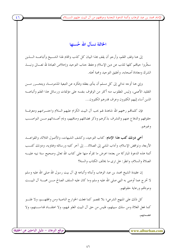### الخاتمة نسأل الله حُسنها

إلى هنا وقف القلم، وأرجو أن يقف هذا البيان كل كذب والهام لهذا الشـــيخ وأتباعــــه الــــذين سخَّروا حياهم كلها للذب عن دين الإسلام وحفظ حناب التوحيد وإحلاص العبادة لله تعـــالي ونبــــذ الشرك ومعاداة أصحابه، وتحقيق التوحيد ومحبة أهله.

وإيي هنا أوجه ندائبي إلى كل مسلم أن ينأى بعقله وفكره عن التبعية المذمومـــة، ويتحـــرر مــــن التقليد الأعمى، وليس المطلوب منه أكثر من الوقوف بنفسه على مؤلفات ورسائل هذا العَلم وأتباعــــه الذين أساء إليهم الكثيرون وعرف قدرهم الكثيرون...

فإن كلماقمم رحمهم الله شاهدة لهم بحب آل البيت الكرام عليهم السلام واحتـــرامهم ومعرفـــة حقوقهم والدفاع عنهم والتشرف بذكرهم وذكر فضائلهم ومناقبهم، وذم أعـــدائهم مـــن النواصـــب وغيرهم.

أخي دونك كتب هذا الإمام: كتاب التوحيد، وكشف الشبهات، والأصول الثلاثة، والقواعـــد الأربعة، ونواقض الإسلام، وآداب المشي إلى الصلاة... إلى آخر كتبه ورسائله وفتاويه، ودونك كتــب أئمة هذه الدعوة المباركة من بعده؛ اعرض ما تقرأه منها على كتاب الله تعالى وصحيح سنة نبيه عليــــه الصلاة والسلام، وانظر: هل ترى ما يخالف الكتاب والسنة؟

إن عقيدة الشيخ محمد بن عبد الوهاب وأبنائه وأتباعه في آل بيت رسول الله صلى الله عليه وسلم لا تخرج عما أوصى به النبي صلى الله عليه وسلم وما كان عليه السلف الصالح مـــن محبـــة آل البيـــت ومودقمم ورعاية حقوقهم.

كل ذلك على المنهج الشرعي؛ بلا تقصير كما فعلت الخوارج الناصبة ومن وافقهـــم، ولا غلــــو كما فعل الغلاة ومن سلك سبيلهم، فليس من حق آل البيت الغلو فيهم، ولا اعتقــاد قداســـتهم، ولا عصمتهم.

www.alburhan.com

 $57$ 

موقع البرهان – دليل الباحثين عن الحقيقة <u>ً</u>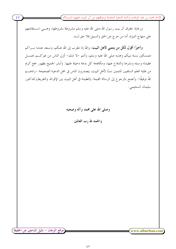الإمام محمد بن عبد الوهاب وأئمة الدعوة النجدية وموقفهم من آل البيت عليهم الســــلام ً

ورعاية حقوق آل بيت رسول الله صلى الله عليه وسلم مشروطة بشروطها، وهـــي اســــتقامتهم على منهاج النبوة، أما من خرج عن الحق والسبيل فلا حق لــــه.

وأخيرًا أقول لكل من ينتمي لأهل البيت: والله إنا نتقرب إلى الله بحبكم، ونسعد عندما نـــراكم متمسكين بسنة نبيكم وهديه صلى الله عليه وسلم، وأنتم –لا شك– أولى الناس من غيركــــم بحمـــــل عقيدته وسنته ونشرها والدفاع عنها، ومكافحة كل بدعة دخيلة عليها. وأبشر الجميع بظهور جمع كريم من طلبة العلم السلفيين المنتمين نسبًا لأهل البيت، يتصدرون الناس في حمل الدعوة الصحيحة –زادهــــم الله توفيقًا– وأنصح بالرحوع إلى الرسالة القيمة: (العقيدة في أهل البيت بين الإفراط والتفريط) للدكتور سليمان السحيمي.

وصلى الله على محمد و آله وصحبه والحمد لله رب العالمين

٤V

www.alburhan.com

موقع البرهان – دليل الباحثين عن الحقيقة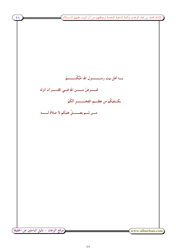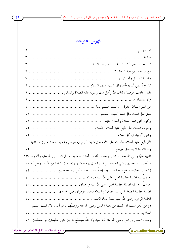الإمام محمد بن عبد الوهاب وأئمة الدعوة النجدية وموقفهم من آل البيت عليهم الســــلام )

# فهرس المحتويات

 $\sqrt{29}$ 

|                                                                                                   | تقـــــديــــــم |
|---------------------------------------------------------------------------------------------------|------------------|
|                                                                                                   |                  |
|                                                                                                   |                  |
|                                                                                                   |                  |
|                                                                                                   |                  |
|                                                                                                   |                  |
| نقله أحاديث الوصية بكتاب الله وأهل بيت رسوله عليه الصلاة والسلام  ٩                               |                  |
| 9.                                                                                                |                  |
|                                                                                                   |                  |
|                                                                                                   |                  |
|                                                                                                   |                  |
|                                                                                                   |                  |
|                                                                                                   |                  |
| لأل النبي عليه الصلاة والسلام على الأمة حق لا يشركهم فيه غيرهم وهم يستحقون من زيادة المحبة        |                  |
|                                                                                                   |                  |
| تلقيبه عليًا رضي الله عنه بالمرتضى واعتقاده أنه من أفضل صحابة رسول الله صلى الله عليه وآله وسلم١٣ |                  |
| ما أصيب به الحسين رضي الله عنه من الشهادة في يوم عاشوراء إنما كان كرامة من الله عز وجل أكرمه      |                  |
| ها ومزيد حظوة ورفع درجة عند ربه وإلحاقًا له بدرجات أهل بيته الطاهرين  ١٤                          |                  |
| حديثَ فيه فضيلة عظيمة لعلى رضى الله عنه وأرضاه ………<br>$\sqrt{0}$                                  |                  |
|                                                                                                   |                  |
| فضيلة عظيمة لبضعة النبي عليه الصلاة والسلام فاطمة الزهراء رضى الله عنها  ١٦                       |                  |
|                                                                                                   |                  |
| ذم من أنكر نسب آل البيت من جهة الحسن رضي الله عنه ووصفُهُم بألهم أعداء لآل البيت عليهم            |                  |
|                                                                                                   |                  |
| وصف الحسن بن على رضي الله عنه بأنه سيد وأن الله سيصلح به بين فتتين عظيمتين من المسلمين . ١٨       |                  |
|                                                                                                   |                  |
| (موقع البرهان – دليل الباحثين عن الحقيقة                                                          | www.alburhan.com |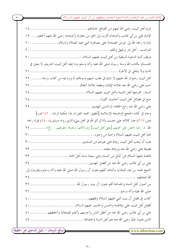الإمام محمد بن عبد الوهاب وأئمة الدعوة النحدية وموقفهم من آل البيت عليهم الســــلام ً

الإمام على بن أبي طالب وأصحابه أقرب إلى الحق من معاوية وأصحابه رضي الله عنهم أجمعين … ١٩ إشارته رحمه الله إلى حرص الصحابة على مصاهرة النبي عليه الصلاة والسلام ....................... ٢٠ المتمسك بكتاب الله وسنة رسوله صلى الله عليه وآله وسلم وما عليه أهل البيت الشريف لا يضل في أهل البيت رضوان الله عليهم لا شك في طلب حبهم ومودقمم لما ورد فيه من كتاب وسنة………. ٢٢ وجاء في كتابه الحجج الواضحة الإسلامية [تحقيق: محمد الفوزان ط: مكتبة الرشد ٢٠١٤٢هــ] (ص:٣١٢) عند كلامه على حديث (أذكركم الله في أهل بيتي) الذي رواه مسلم (٢٤٠٨) قوله رحمه الله: «...فيه الحض على محبتهم [يعني أهل البيت] وموالاقم، ومعرفة حقوقهم... إلخ». ........... ٢٩ فاطمة عليها السلام ممن كَمُل من النساء وهي سيدة نساء أهل الجنة .............................. ٣٣ الشيخ محمد بن عبد الوهاب وأتباعه كلهم يحبون آل رسول الله صلى الله عليه وآله وسلم ويتقربون إلى على بن أبي طالب رضي الله عنه من أعقل الناس وأحزمهم وأعلم الصحابة وأحفظهم …………. ٤١ www.alburhan.com

 $\circ$ .

 $\circ$ .